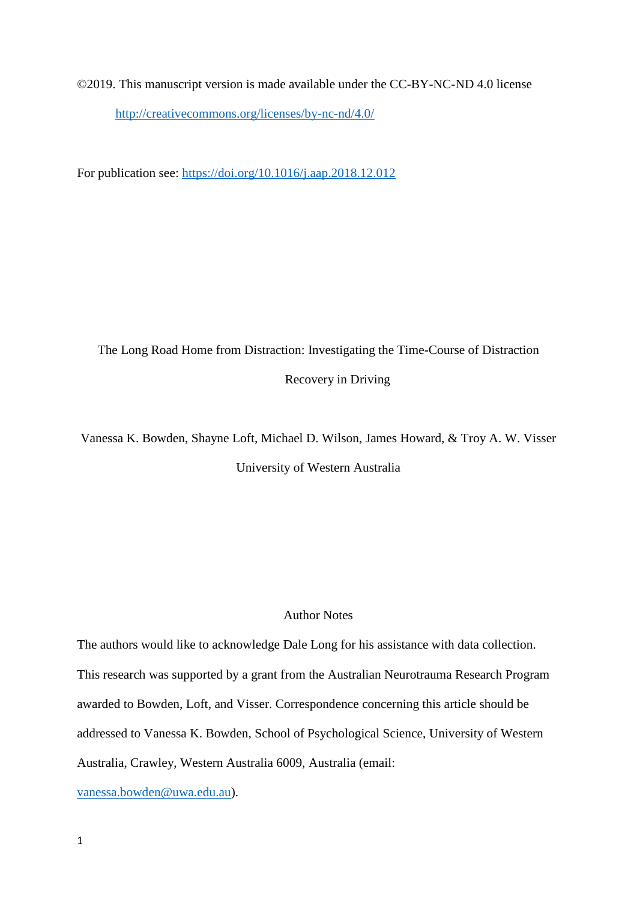©2019. This manuscript version is made available under the CC-BY-NC-ND 4.0 license <http://creativecommons.org/licenses/by-nc-nd/4.0/>

For publication see:<https://doi.org/10.1016/j.aap.2018.12.012>

The Long Road Home from Distraction: Investigating the Time-Course of Distraction Recovery in Driving

Vanessa K. Bowden, Shayne Loft, Michael D. Wilson, James Howard, & Troy A. W. Visser University of Western Australia

# Author Notes

The authors would like to acknowledge Dale Long for his assistance with data collection. This research was supported by a grant from the Australian Neurotrauma Research Program awarded to Bowden, Loft, and Visser. Correspondence concerning this article should be addressed to Vanessa K. Bowden, School of Psychological Science, University of Western Australia, Crawley, Western Australia 6009, Australia (email:

[vanessa.bowden@uwa.edu.au\)](mailto:vanessa.bowden@uwa.edu.au).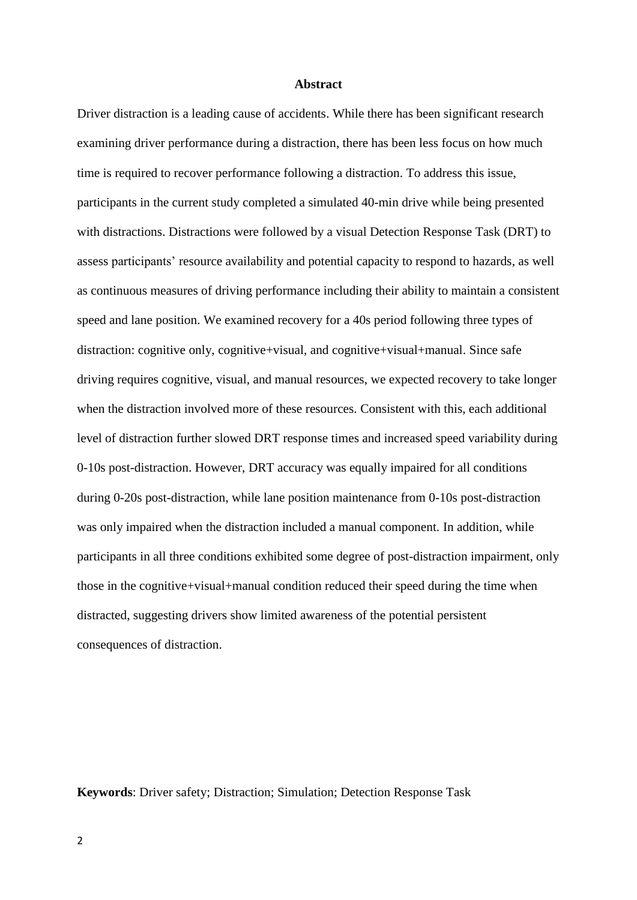### **Abstract**

Driver distraction is a leading cause of accidents. While there has been significant research examining driver performance during a distraction, there has been less focus on how much time is required to recover performance following a distraction. To address this issue, participants in the current study completed a simulated 40-min drive while being presented with distractions. Distractions were followed by a visual Detection Response Task (DRT) to assess participants' resource availability and potential capacity to respond to hazards, as well as continuous measures of driving performance including their ability to maintain a consistent speed and lane position. We examined recovery for a 40s period following three types of distraction: cognitive only, cognitive+visual, and cognitive+visual+manual. Since safe driving requires cognitive, visual, and manual resources, we expected recovery to take longer when the distraction involved more of these resources. Consistent with this, each additional level of distraction further slowed DRT response times and increased speed variability during 0-10s post-distraction. However, DRT accuracy was equally impaired for all conditions during 0-20s post-distraction, while lane position maintenance from 0-10s post-distraction was only impaired when the distraction included a manual component. In addition, while participants in all three conditions exhibited some degree of post-distraction impairment, only those in the cognitive+visual+manual condition reduced their speed during the time when distracted, suggesting drivers show limited awareness of the potential persistent consequences of distraction.

**Keywords**: Driver safety; Distraction; Simulation; Detection Response Task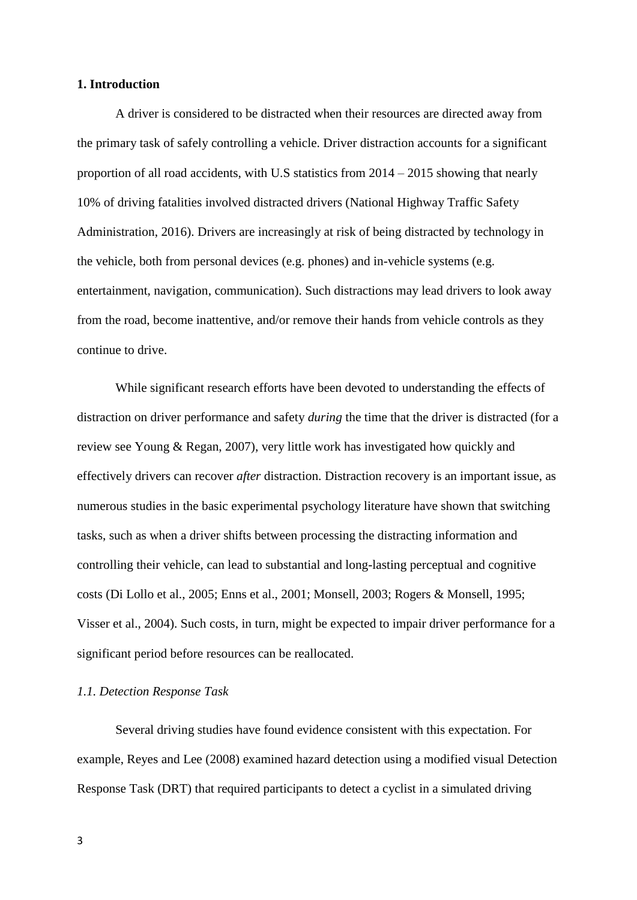# **1. Introduction**

A driver is considered to be distracted when their resources are directed away from the primary task of safely controlling a vehicle. Driver distraction accounts for a significant proportion of all road accidents, with U.S statistics from 2014 – 2015 showing that nearly 10% of driving fatalities involved distracted drivers (National Highway Traffic Safety Administration, 2016). Drivers are increasingly at risk of being distracted by technology in the vehicle, both from personal devices (e.g. phones) and in-vehicle systems (e.g. entertainment, navigation, communication). Such distractions may lead drivers to look away from the road, become inattentive, and/or remove their hands from vehicle controls as they continue to drive.

While significant research efforts have been devoted to understanding the effects of distraction on driver performance and safety *during* the time that the driver is distracted (for a review see Young & Regan, 2007), very little work has investigated how quickly and effectively drivers can recover *after* distraction. Distraction recovery is an important issue, as numerous studies in the basic experimental psychology literature have shown that switching tasks, such as when a driver shifts between processing the distracting information and controlling their vehicle, can lead to substantial and long-lasting perceptual and cognitive costs (Di Lollo et al., 2005; Enns et al., 2001; Monsell, 2003; Rogers & Monsell, 1995; Visser et al., 2004). Such costs, in turn, might be expected to impair driver performance for a significant period before resources can be reallocated.

# *1.1. Detection Response Task*

Several driving studies have found evidence consistent with this expectation. For example, Reyes and Lee (2008) examined hazard detection using a modified visual Detection Response Task (DRT) that required participants to detect a cyclist in a simulated driving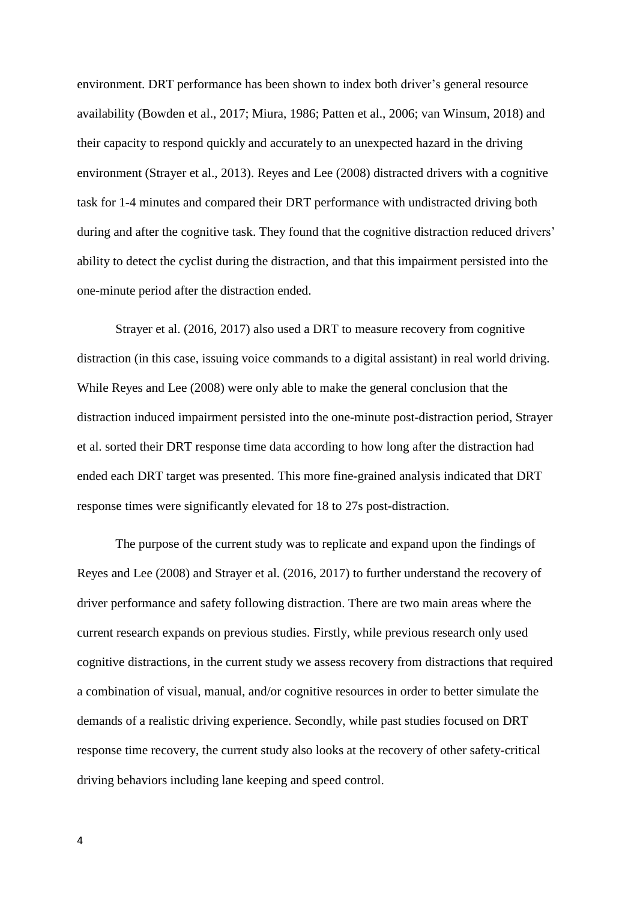environment. DRT performance has been shown to index both driver's general resource availability (Bowden et al., 2017; Miura, 1986; Patten et al., 2006; van Winsum, 2018) and their capacity to respond quickly and accurately to an unexpected hazard in the driving environment (Strayer et al., 2013). Reyes and Lee (2008) distracted drivers with a cognitive task for 1-4 minutes and compared their DRT performance with undistracted driving both during and after the cognitive task. They found that the cognitive distraction reduced drivers' ability to detect the cyclist during the distraction, and that this impairment persisted into the one-minute period after the distraction ended.

Strayer et al. (2016, 2017) also used a DRT to measure recovery from cognitive distraction (in this case, issuing voice commands to a digital assistant) in real world driving. While Reyes and Lee (2008) were only able to make the general conclusion that the distraction induced impairment persisted into the one-minute post-distraction period, Strayer et al. sorted their DRT response time data according to how long after the distraction had ended each DRT target was presented. This more fine-grained analysis indicated that DRT response times were significantly elevated for 18 to 27s post-distraction.

The purpose of the current study was to replicate and expand upon the findings of Reyes and Lee (2008) and Strayer et al. (2016, 2017) to further understand the recovery of driver performance and safety following distraction. There are two main areas where the current research expands on previous studies. Firstly, while previous research only used cognitive distractions, in the current study we assess recovery from distractions that required a combination of visual, manual, and/or cognitive resources in order to better simulate the demands of a realistic driving experience. Secondly, while past studies focused on DRT response time recovery, the current study also looks at the recovery of other safety-critical driving behaviors including lane keeping and speed control.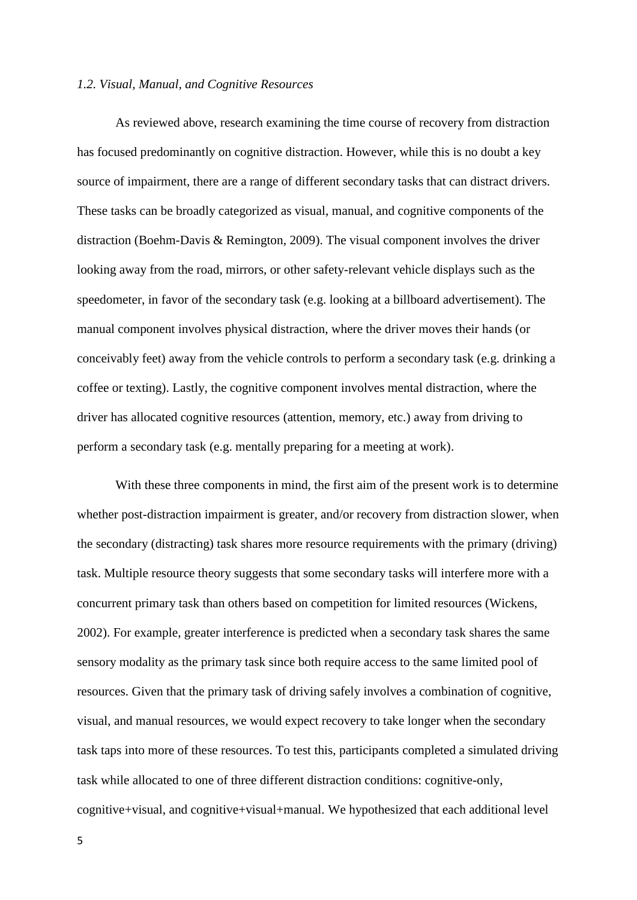### *1.2. Visual, Manual, and Cognitive Resources*

As reviewed above, research examining the time course of recovery from distraction has focused predominantly on cognitive distraction. However, while this is no doubt a key source of impairment, there are a range of different secondary tasks that can distract drivers. These tasks can be broadly categorized as visual, manual, and cognitive components of the distraction (Boehm-Davis & Remington, 2009). The visual component involves the driver looking away from the road, mirrors, or other safety-relevant vehicle displays such as the speedometer, in favor of the secondary task (e.g. looking at a billboard advertisement). The manual component involves physical distraction, where the driver moves their hands (or conceivably feet) away from the vehicle controls to perform a secondary task (e.g. drinking a coffee or texting). Lastly, the cognitive component involves mental distraction, where the driver has allocated cognitive resources (attention, memory, etc.) away from driving to perform a secondary task (e.g. mentally preparing for a meeting at work).

With these three components in mind, the first aim of the present work is to determine whether post-distraction impairment is greater, and/or recovery from distraction slower, when the secondary (distracting) task shares more resource requirements with the primary (driving) task. Multiple resource theory suggests that some secondary tasks will interfere more with a concurrent primary task than others based on competition for limited resources (Wickens, 2002). For example, greater interference is predicted when a secondary task shares the same sensory modality as the primary task since both require access to the same limited pool of resources. Given that the primary task of driving safely involves a combination of cognitive, visual, and manual resources, we would expect recovery to take longer when the secondary task taps into more of these resources. To test this, participants completed a simulated driving task while allocated to one of three different distraction conditions: cognitive-only, cognitive+visual, and cognitive+visual+manual. We hypothesized that each additional level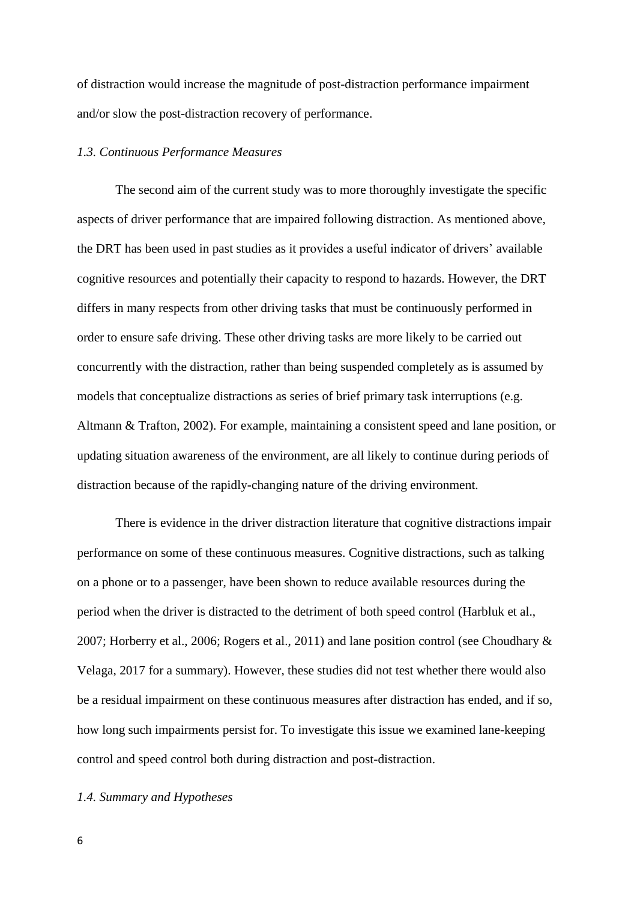of distraction would increase the magnitude of post-distraction performance impairment and/or slow the post-distraction recovery of performance.

## *1.3. Continuous Performance Measures*

The second aim of the current study was to more thoroughly investigate the specific aspects of driver performance that are impaired following distraction. As mentioned above, the DRT has been used in past studies as it provides a useful indicator of drivers' available cognitive resources and potentially their capacity to respond to hazards. However, the DRT differs in many respects from other driving tasks that must be continuously performed in order to ensure safe driving. These other driving tasks are more likely to be carried out concurrently with the distraction, rather than being suspended completely as is assumed by models that conceptualize distractions as series of brief primary task interruptions (e.g. Altmann & Trafton, 2002). For example, maintaining a consistent speed and lane position, or updating situation awareness of the environment, are all likely to continue during periods of distraction because of the rapidly-changing nature of the driving environment.

There is evidence in the driver distraction literature that cognitive distractions impair performance on some of these continuous measures. Cognitive distractions, such as talking on a phone or to a passenger, have been shown to reduce available resources during the period when the driver is distracted to the detriment of both speed control (Harbluk et al., 2007; Horberry et al., 2006; Rogers et al., 2011) and lane position control (see Choudhary & Velaga, 2017 for a summary). However, these studies did not test whether there would also be a residual impairment on these continuous measures after distraction has ended, and if so, how long such impairments persist for. To investigate this issue we examined lane-keeping control and speed control both during distraction and post-distraction.

## *1.4. Summary and Hypotheses*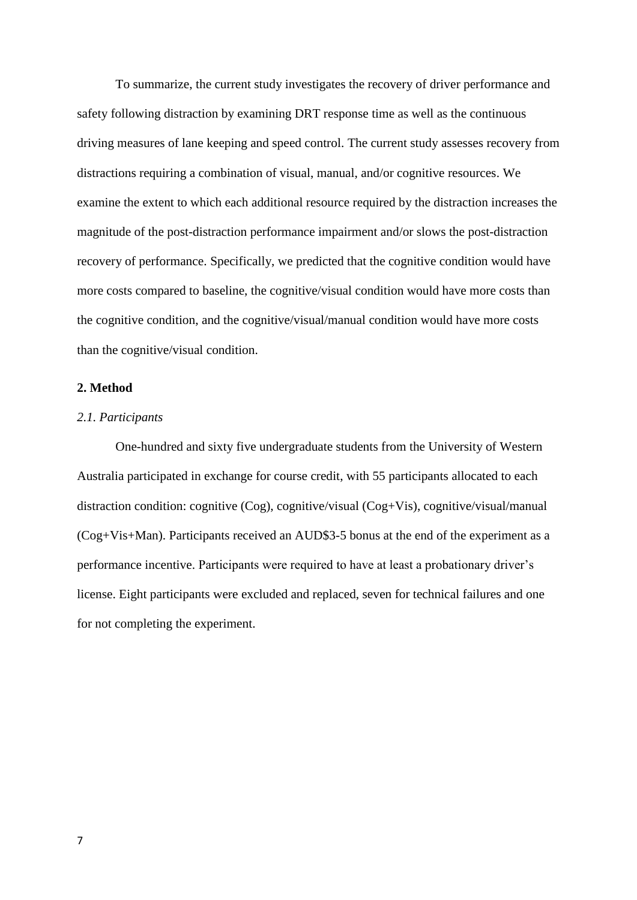To summarize, the current study investigates the recovery of driver performance and safety following distraction by examining DRT response time as well as the continuous driving measures of lane keeping and speed control. The current study assesses recovery from distractions requiring a combination of visual, manual, and/or cognitive resources. We examine the extent to which each additional resource required by the distraction increases the magnitude of the post-distraction performance impairment and/or slows the post-distraction recovery of performance. Specifically, we predicted that the cognitive condition would have more costs compared to baseline, the cognitive/visual condition would have more costs than the cognitive condition, and the cognitive/visual/manual condition would have more costs than the cognitive/visual condition.

#### **2. Method**

# *2.1. Participants*

One-hundred and sixty five undergraduate students from the University of Western Australia participated in exchange for course credit, with 55 participants allocated to each distraction condition: cognitive (Cog), cognitive/visual (Cog+Vis), cognitive/visual/manual (Cog+Vis+Man). Participants received an AUD\$3-5 bonus at the end of the experiment as a performance incentive. Participants were required to have at least a probationary driver's license. Eight participants were excluded and replaced, seven for technical failures and one for not completing the experiment.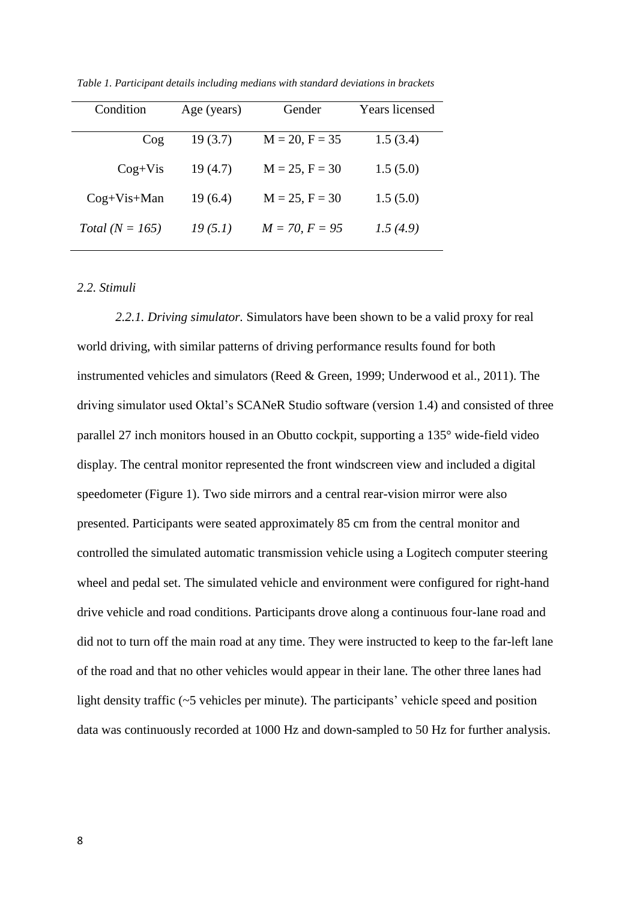| Condition           | Age (years) | Gender           | <b>Years</b> licensed |  |
|---------------------|-------------|------------------|-----------------------|--|
| $\cos$              | 19(3.7)     | $M = 20, F = 35$ | 1.5(3.4)              |  |
| $Cog+Vis$           | 19(4.7)     | $M = 25, F = 30$ | 1.5(5.0)              |  |
| $Cog+Vis+Man$       | 19(6.4)     | $M = 25, F = 30$ | 1.5(5.0)              |  |
| Total ( $N = 165$ ) | 19(5.1)     | $M = 70, F = 95$ | 1.5(4.9)              |  |
|                     |             |                  |                       |  |

*Table 1. Participant details including medians with standard deviations in brackets*

# *2.2. Stimuli*

*2.2.1. Driving simulator.* Simulators have been shown to be a valid proxy for real world driving, with similar patterns of driving performance results found for both instrumented vehicles and simulators (Reed & Green, 1999; Underwood et al., 2011). The driving simulator used Oktal's SCANeR Studio software (version 1.4) and consisted of three parallel 27 inch monitors housed in an Obutto cockpit, supporting a 135° wide-field video display. The central monitor represented the front windscreen view and included a digital speedometer (Figure 1). Two side mirrors and a central rear-vision mirror were also presented. Participants were seated approximately 85 cm from the central monitor and controlled the simulated automatic transmission vehicle using a Logitech computer steering wheel and pedal set. The simulated vehicle and environment were configured for right-hand drive vehicle and road conditions. Participants drove along a continuous four-lane road and did not to turn off the main road at any time. They were instructed to keep to the far-left lane of the road and that no other vehicles would appear in their lane. The other three lanes had light density traffic (~5 vehicles per minute). The participants' vehicle speed and position data was continuously recorded at 1000 Hz and down-sampled to 50 Hz for further analysis.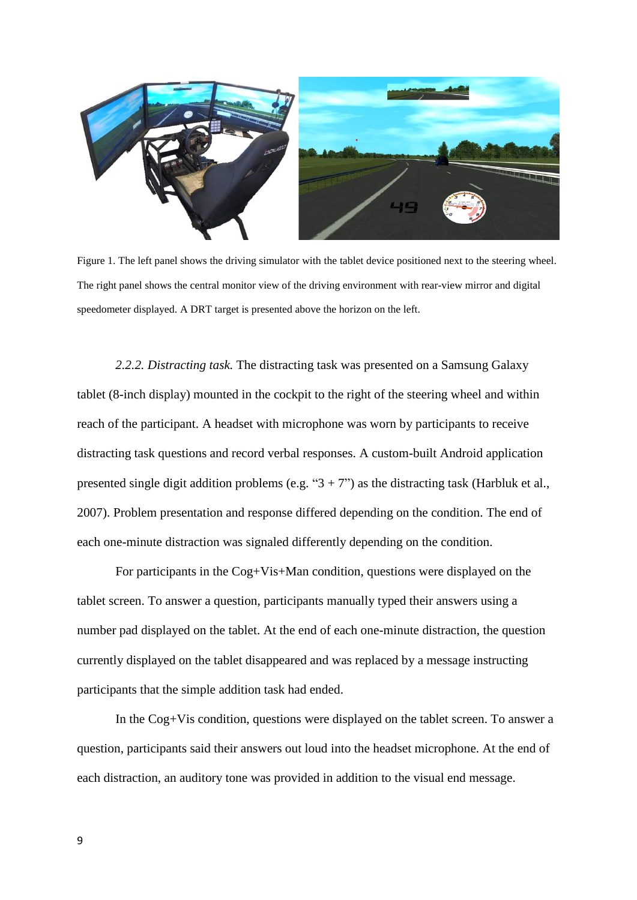

Figure 1. The left panel shows the driving simulator with the tablet device positioned next to the steering wheel. The right panel shows the central monitor view of the driving environment with rear-view mirror and digital speedometer displayed. A DRT target is presented above the horizon on the left.

*2.2.2. Distracting task.* The distracting task was presented on a Samsung Galaxy tablet (8-inch display) mounted in the cockpit to the right of the steering wheel and within reach of the participant. A headset with microphone was worn by participants to receive distracting task questions and record verbal responses. A custom-built Android application presented single digit addition problems (e.g. " $3 + 7$ ") as the distracting task (Harbluk et al., 2007). Problem presentation and response differed depending on the condition. The end of each one-minute distraction was signaled differently depending on the condition.

For participants in the Cog+Vis+Man condition, questions were displayed on the tablet screen. To answer a question, participants manually typed their answers using a number pad displayed on the tablet. At the end of each one-minute distraction, the question currently displayed on the tablet disappeared and was replaced by a message instructing participants that the simple addition task had ended.

In the Cog+Vis condition, questions were displayed on the tablet screen. To answer a question, participants said their answers out loud into the headset microphone. At the end of each distraction, an auditory tone was provided in addition to the visual end message.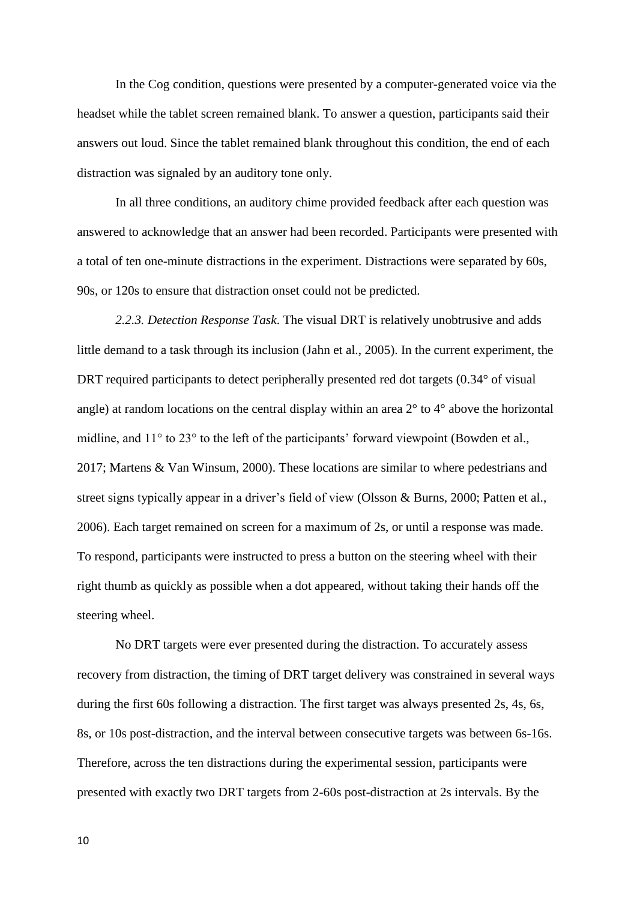In the Cog condition, questions were presented by a computer-generated voice via the headset while the tablet screen remained blank. To answer a question, participants said their answers out loud. Since the tablet remained blank throughout this condition, the end of each distraction was signaled by an auditory tone only.

In all three conditions, an auditory chime provided feedback after each question was answered to acknowledge that an answer had been recorded. Participants were presented with a total of ten one-minute distractions in the experiment. Distractions were separated by 60s, 90s, or 120s to ensure that distraction onset could not be predicted.

*2.2.3. Detection Response Task*. The visual DRT is relatively unobtrusive and adds little demand to a task through its inclusion (Jahn et al., 2005). In the current experiment, the DRT required participants to detect peripherally presented red dot targets (0.34° of visual angle) at random locations on the central display within an area 2° to 4° above the horizontal midline, and 11° to 23° to the left of the participants' forward viewpoint (Bowden et al., 2017; Martens & Van Winsum, 2000). These locations are similar to where pedestrians and street signs typically appear in a driver's field of view (Olsson & Burns, 2000; Patten et al., 2006). Each target remained on screen for a maximum of 2s, or until a response was made. To respond, participants were instructed to press a button on the steering wheel with their right thumb as quickly as possible when a dot appeared, without taking their hands off the steering wheel.

No DRT targets were ever presented during the distraction. To accurately assess recovery from distraction, the timing of DRT target delivery was constrained in several ways during the first 60s following a distraction. The first target was always presented 2s, 4s, 6s, 8s, or 10s post-distraction, and the interval between consecutive targets was between 6s-16s. Therefore, across the ten distractions during the experimental session, participants were presented with exactly two DRT targets from 2-60s post-distraction at 2s intervals. By the

10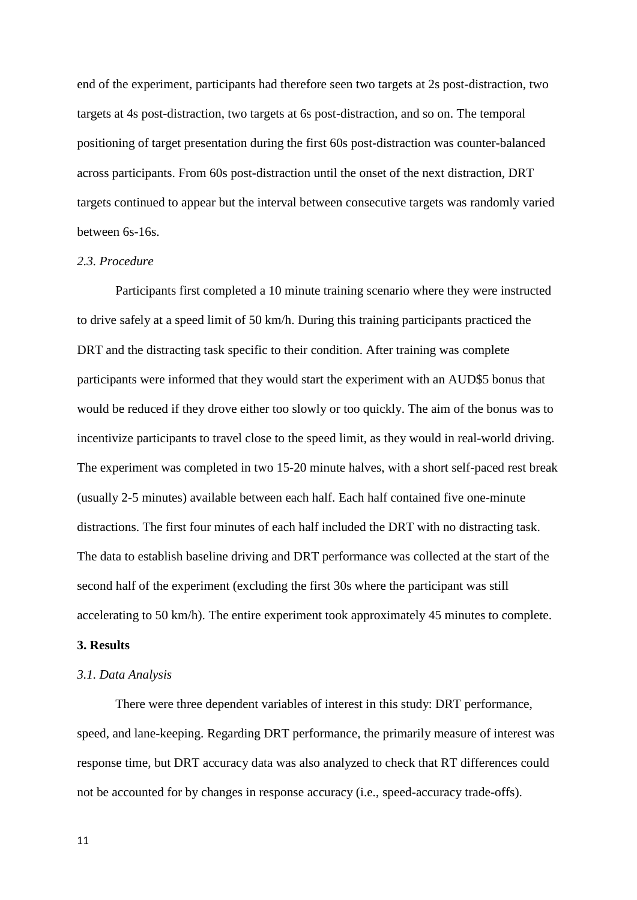end of the experiment, participants had therefore seen two targets at 2s post-distraction, two targets at 4s post-distraction, two targets at 6s post-distraction, and so on. The temporal positioning of target presentation during the first 60s post-distraction was counter-balanced across participants. From 60s post-distraction until the onset of the next distraction, DRT targets continued to appear but the interval between consecutive targets was randomly varied between 6s-16s.

### *2.3. Procedure*

Participants first completed a 10 minute training scenario where they were instructed to drive safely at a speed limit of 50 km/h. During this training participants practiced the DRT and the distracting task specific to their condition. After training was complete participants were informed that they would start the experiment with an AUD\$5 bonus that would be reduced if they drove either too slowly or too quickly. The aim of the bonus was to incentivize participants to travel close to the speed limit, as they would in real-world driving. The experiment was completed in two 15-20 minute halves, with a short self-paced rest break (usually 2-5 minutes) available between each half. Each half contained five one-minute distractions. The first four minutes of each half included the DRT with no distracting task. The data to establish baseline driving and DRT performance was collected at the start of the second half of the experiment (excluding the first 30s where the participant was still accelerating to 50 km/h). The entire experiment took approximately 45 minutes to complete.

# **3. Results**

# *3.1. Data Analysis*

There were three dependent variables of interest in this study: DRT performance, speed, and lane-keeping. Regarding DRT performance, the primarily measure of interest was response time, but DRT accuracy data was also analyzed to check that RT differences could not be accounted for by changes in response accuracy (i.e., speed-accuracy trade-offs).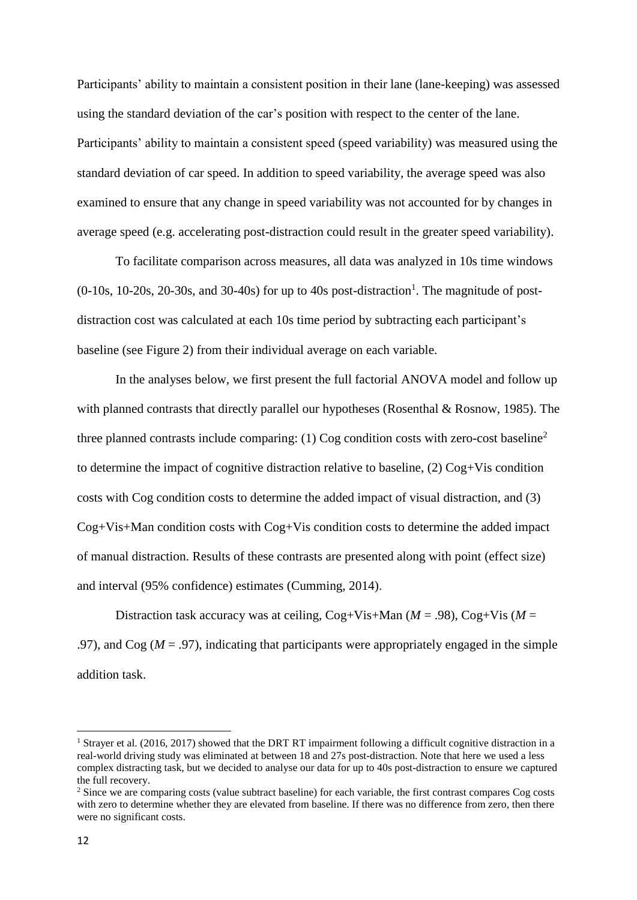Participants' ability to maintain a consistent position in their lane (lane-keeping) was assessed using the standard deviation of the car's position with respect to the center of the lane. Participants' ability to maintain a consistent speed (speed variability) was measured using the standard deviation of car speed. In addition to speed variability, the average speed was also examined to ensure that any change in speed variability was not accounted for by changes in average speed (e.g. accelerating post-distraction could result in the greater speed variability).

To facilitate comparison across measures, all data was analyzed in 10s time windows  $(0-10s, 10-20s, 20-30s,$  and 30-40s) for up to 40s post-distraction<sup>1</sup>. The magnitude of postdistraction cost was calculated at each 10s time period by subtracting each participant's baseline (see Figure 2) from their individual average on each variable.

In the analyses below, we first present the full factorial ANOVA model and follow up with planned contrasts that directly parallel our hypotheses (Rosenthal & Rosnow, 1985). The three planned contrasts include comparing: (1) Cog condition costs with zero-cost baseline<sup>2</sup> to determine the impact of cognitive distraction relative to baseline, (2) Cog+Vis condition costs with Cog condition costs to determine the added impact of visual distraction, and (3) Cog+Vis+Man condition costs with Cog+Vis condition costs to determine the added impact of manual distraction. Results of these contrasts are presented along with point (effect size) and interval (95% confidence) estimates (Cumming, 2014).

Distraction task accuracy was at ceiling,  $Cog+Vis+Man$  ( $M = .98$ ),  $Cog+Vis$  ( $M =$ .97), and  $\text{Cog } (M = .97)$ , indicating that participants were appropriately engaged in the simple addition task.

**.** 

<sup>&</sup>lt;sup>1</sup> Strayer et al. (2016, 2017) showed that the DRT RT impairment following a difficult cognitive distraction in a real-world driving study was eliminated at between 18 and 27s post-distraction. Note that here we used a less complex distracting task, but we decided to analyse our data for up to 40s post-distraction to ensure we captured the full recovery.

<sup>&</sup>lt;sup>2</sup> Since we are comparing costs (value subtract baseline) for each variable, the first contrast compares Cog costs with zero to determine whether they are elevated from baseline. If there was no difference from zero, then there were no significant costs.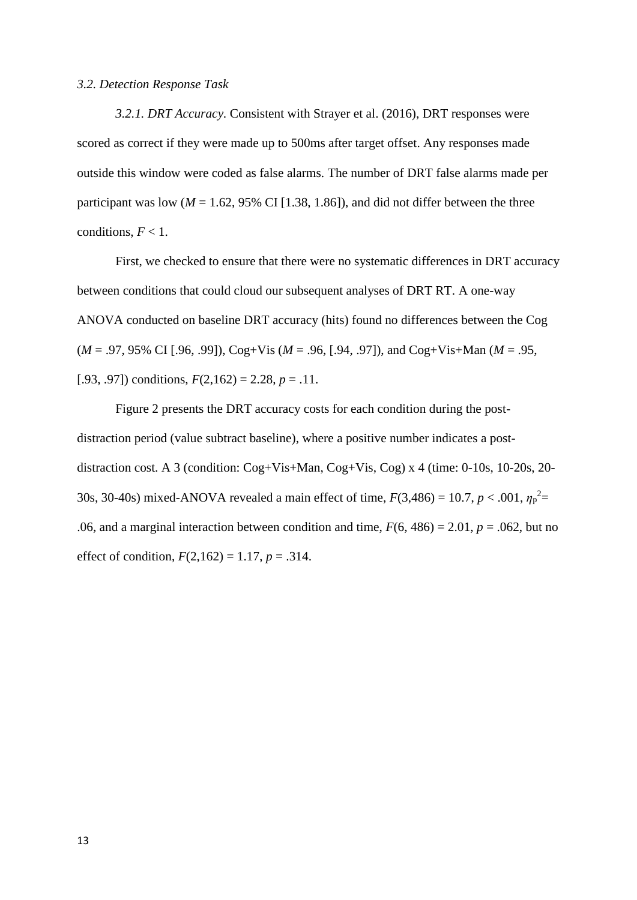### *3.2. Detection Response Task*

*3.2.1. DRT Accuracy.* Consistent with Strayer et al. (2016), DRT responses were scored as correct if they were made up to 500ms after target offset. Any responses made outside this window were coded as false alarms. The number of DRT false alarms made per participant was low  $(M = 1.62, 95\% \text{ CI} [1.38, 1.86])$ , and did not differ between the three conditions,  $F < 1$ .

First, we checked to ensure that there were no systematic differences in DRT accuracy between conditions that could cloud our subsequent analyses of DRT RT. A one-way ANOVA conducted on baseline DRT accuracy (hits) found no differences between the Cog (*M* = .97, 95% CI [.96, .99]), Cog+Vis (*M* = .96, [.94, .97]), and Cog+Vis+Man (*M* = .95, [.93, .97]) conditions,  $F(2,162) = 2.28$ ,  $p = .11$ .

Figure 2 presents the DRT accuracy costs for each condition during the postdistraction period (value subtract baseline), where a positive number indicates a postdistraction cost. A 3 (condition: Cog+Vis+Man, Cog+Vis, Cog) x 4 (time: 0-10s, 10-20s, 20- 30s, 30-40s) mixed-ANOVA revealed a main effect of time,  $F(3,486) = 10.7$ ,  $p < .001$ ,  $\eta_p^2 =$ .06, and a marginal interaction between condition and time,  $F(6, 486) = 2.01$ ,  $p = .062$ , but no effect of condition,  $F(2,162) = 1.17$ ,  $p = .314$ .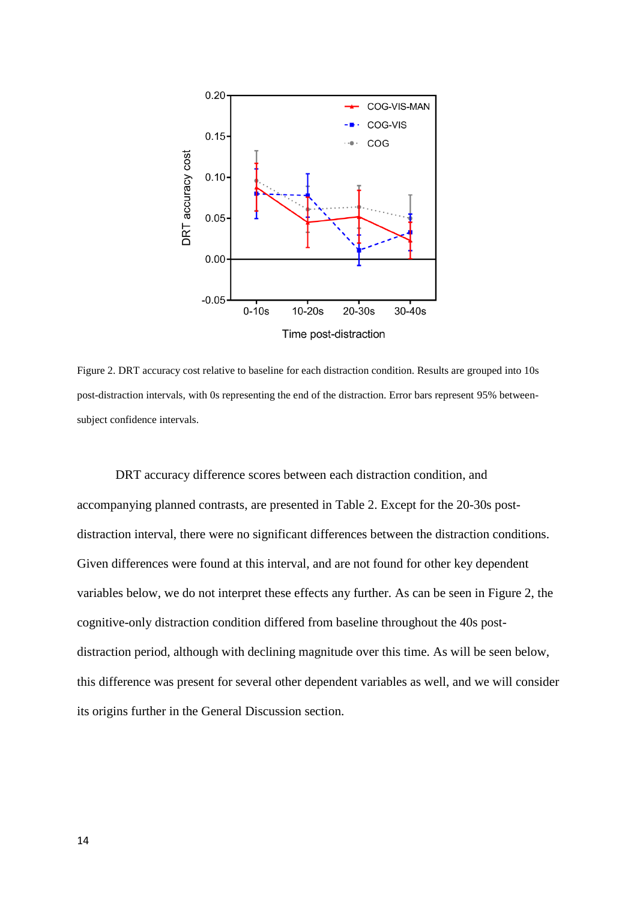

Figure 2. DRT accuracy cost relative to baseline for each distraction condition. Results are grouped into 10s post-distraction intervals, with 0s representing the end of the distraction. Error bars represent 95% betweensubject confidence intervals.

DRT accuracy difference scores between each distraction condition, and accompanying planned contrasts, are presented in Table 2. Except for the 20-30s postdistraction interval, there were no significant differences between the distraction conditions. Given differences were found at this interval, and are not found for other key dependent variables below, we do not interpret these effects any further. As can be seen in Figure 2, the cognitive-only distraction condition differed from baseline throughout the 40s postdistraction period, although with declining magnitude over this time. As will be seen below, this difference was present for several other dependent variables as well, and we will consider its origins further in the General Discussion section.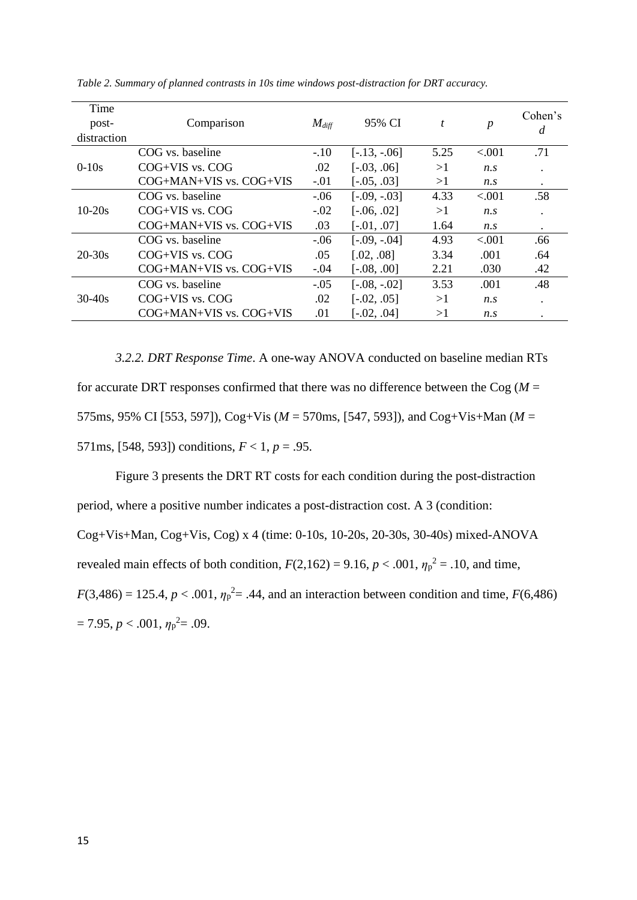| Time<br>post-<br>distraction | Comparison                  | $M_{diff}$ | 95% CI         | t    | $\boldsymbol{p}$ | Cohen's<br>d |
|------------------------------|-----------------------------|------------|----------------|------|------------------|--------------|
|                              | COG vs. baseline            | $-.10$     | $[-.13, -.06]$ | 5.25 | < 0.01           | .71          |
| $0-10s$                      | $COG+VIS$ vs. $COG$         | .02        | $[-.03, .06]$  | >1   | $n_{\rm s}$      |              |
|                              | $COG+MAN+VIS$ vs. $COG+VIS$ | $-.01$     | $[-.05, .03]$  | >1   | $n_{\rm s}$      | $\bullet$    |
|                              | COG vs. baseline            | $-.06$     | $[-.09, -03]$  | 4.33 | < 0.001          | .58          |
| $10-20s$                     | $COG+VIS$ vs. $COG$         | $-.02$     | $[-.06, .02]$  | >1   | $n_{\rm s}$      |              |
|                              | $COG+MAN+VIS$ vs. $COG+VIS$ | .03        | $[-.01, .07]$  | 1.64 | $n_{\rm s}$      | $\bullet$    |
| $20 - 30s$                   | COG vs. baseline            | $-.06$     | $[-.09, -.04]$ | 4.93 | < 0.001          | .66          |
|                              | $COG+VIS$ vs. $COG$         | .05        | [.02, .08]     | 3.34 | .001             | .64          |
|                              | $COG+MAN+VIS$ vs. $COG+VIS$ | $-.04$     | $[-.08, .00]$  | 2.21 | .030             | .42          |
| $30 - 40s$                   | COG vs. baseline            | $-.05$     | $[-.08, -.02]$ | 3.53 | .001             | .48          |
|                              | $COG+VIS$ vs. $COG$         | .02        | $[-.02, .05]$  | >1   | $n_{\rm s}$      |              |
|                              | $COG+MAN+VIS$ vs. $COG+VIS$ | .01        | $[-.02, .04]$  | >1   | $n_{\rm s}$      |              |

*Table 2. Summary of planned contrasts in 10s time windows post-distraction for DRT accuracy.*

*3.2.2. DRT Response Time*. A one-way ANOVA conducted on baseline median RTs for accurate DRT responses confirmed that there was no difference between the Cog  $(M =$ 575ms, 95% CI [553, 597]), Cog+Vis (*M* = 570ms, [547, 593]), and Cog+Vis+Man (*M* = 571ms, [548, 593]) conditions,  $F < 1$ ,  $p = .95$ .

Figure 3 presents the DRT RT costs for each condition during the post-distraction period, where a positive number indicates a post-distraction cost. A 3 (condition: Cog+Vis+Man, Cog+Vis, Cog) x 4 (time: 0-10s, 10-20s, 20-30s, 30-40s) mixed-ANOVA revealed main effects of both condition,  $F(2,162) = 9.16$ ,  $p < .001$ ,  $\eta_p^2 = .10$ , and time,  $F(3,486) = 125.4, p < .001, \eta_p^2 = .44$ , and an interaction between condition and time,  $F(6,486)$  $= 7.95, p < .001, \eta_p^2 = .09.$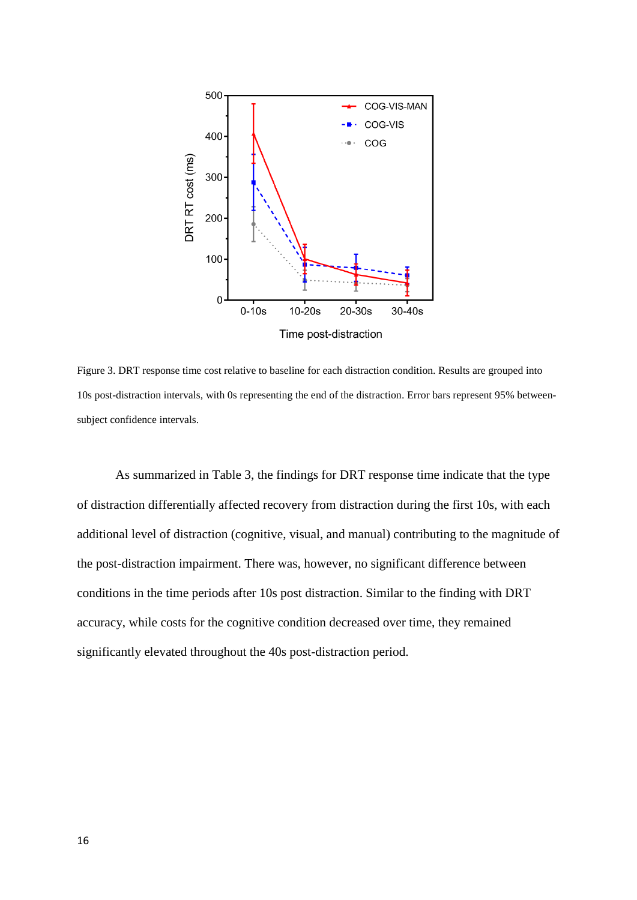

Figure 3. DRT response time cost relative to baseline for each distraction condition. Results are grouped into 10s post-distraction intervals, with 0s representing the end of the distraction. Error bars represent 95% betweensubject confidence intervals.

As summarized in Table 3, the findings for DRT response time indicate that the type of distraction differentially affected recovery from distraction during the first 10s, with each additional level of distraction (cognitive, visual, and manual) contributing to the magnitude of the post-distraction impairment. There was, however, no significant difference between conditions in the time periods after 10s post distraction. Similar to the finding with DRT accuracy, while costs for the cognitive condition decreased over time, they remained significantly elevated throughout the 40s post-distraction period.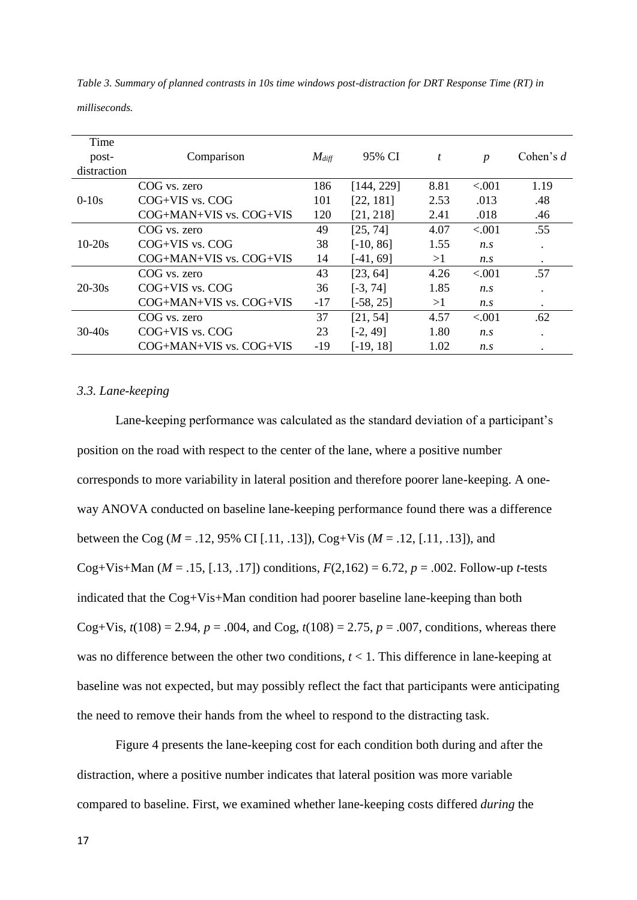*Table 3. Summary of planned contrasts in 10s time windows post-distraction for DRT Response Time (RT) in* 

*milliseconds.*

| Time        |                             |            |             |      |                  |             |
|-------------|-----------------------------|------------|-------------|------|------------------|-------------|
| post-       | Comparison                  | $M_{diff}$ | 95% CI      | t    | $\boldsymbol{p}$ | Cohen's $d$ |
| distraction |                             |            |             |      |                  |             |
|             | COG vs. zero                | 186        | [144, 229]  | 8.81 | < 0.001          | 1.19        |
| $0-10s$     | $COG+VIS$ vs. $COG$         | 101        | [22, 181]   | 2.53 | .013             | .48         |
|             | $COG+MAN+VIS$ vs. $COG+VIS$ | 120        | [21, 218]   | 2.41 | .018             | .46         |
| $10-20s$    | COG vs. zero                | 49         | [25, 74]    | 4.07 | < .001           | .55         |
|             | $COG+VIS$ vs. $COG$         | 38         | $[-10, 86]$ | 1.55 | $n_{\rm s}$      | $\bullet$   |
|             | $COG+MAN+VIS$ vs. $COG+VIS$ | 14         | $[-41, 69]$ | >1   | $n_{\rm s}$      | $\bullet$   |
| $20 - 30s$  | COG vs. zero                | 43         | [23, 64]    | 4.26 | < 0.001          | .57         |
|             | $COG+VIS$ vs. $COG$         | 36         | $[-3, 74]$  | 1.85 | $n_{\rm s}$      | $\bullet$   |
|             | $COG+MAN+VIS$ vs. $COG+VIS$ | $-17$      | $[-58, 25]$ | >1   | $n_{\rm s}$      | $\bullet$   |
| $30 - 40s$  | COG vs. zero                | 37         | [21, 54]    | 4.57 | < .001           | .62         |
|             | $COG+VIS$ vs. $COG$         | 23         | $[-2, 49]$  | 1.80 | $n_{\rm s}$      | $\bullet$   |
|             | $COG+MAN+VIS$ vs. $COG+VIS$ | $-19$      | $[-19, 18]$ | 1.02 | $n_{\rm s}$      | $\bullet$   |

## *3.3. Lane-keeping*

Lane-keeping performance was calculated as the standard deviation of a participant's position on the road with respect to the center of the lane, where a positive number corresponds to more variability in lateral position and therefore poorer lane-keeping. A oneway ANOVA conducted on baseline lane-keeping performance found there was a difference between the Cog (*M* = .12, 95% CI [.11, .13]), Cog+Vis (*M* = .12, [.11, .13]), and Cog+Vis+Man ( $M = .15$ , [.13, .17]) conditions,  $F(2,162) = 6.72$ ,  $p = .002$ . Follow-up *t*-tests indicated that the Cog+Vis+Man condition had poorer baseline lane-keeping than both Cog+Vis,  $t(108) = 2.94$ ,  $p = .004$ , and Cog,  $t(108) = 2.75$ ,  $p = .007$ , conditions, whereas there was no difference between the other two conditions, *t* < 1. This difference in lane-keeping at baseline was not expected, but may possibly reflect the fact that participants were anticipating the need to remove their hands from the wheel to respond to the distracting task.

Figure 4 presents the lane-keeping cost for each condition both during and after the distraction, where a positive number indicates that lateral position was more variable compared to baseline. First, we examined whether lane-keeping costs differed *during* the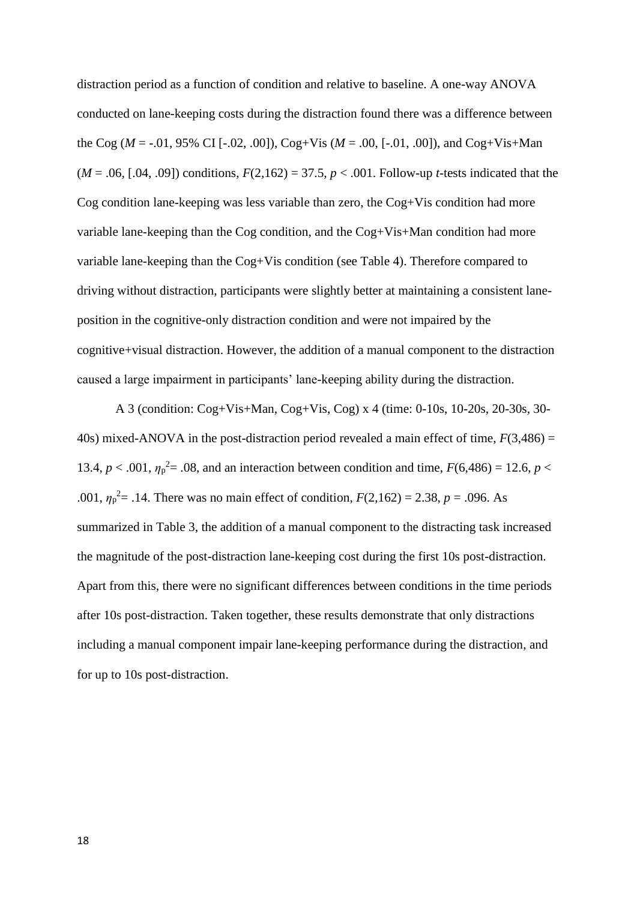distraction period as a function of condition and relative to baseline. A one-way ANOVA conducted on lane-keeping costs during the distraction found there was a difference between the Cog ( $M = -0.01$ , 95% CI [ $-0.02$ , .00]), Cog+Vis ( $M = 0.00$ , [ $-0.01$ , .00]), and Cog+Vis+Man  $(M = .06, [.04, .09])$  conditions,  $F(2,162) = 37.5, p < .001$ . Follow-up *t*-tests indicated that the Cog condition lane-keeping was less variable than zero, the Cog+Vis condition had more variable lane-keeping than the Cog condition, and the Cog+Vis+Man condition had more variable lane-keeping than the Cog+Vis condition (see Table 4). Therefore compared to driving without distraction, participants were slightly better at maintaining a consistent laneposition in the cognitive-only distraction condition and were not impaired by the cognitive+visual distraction. However, the addition of a manual component to the distraction caused a large impairment in participants' lane-keeping ability during the distraction.

A 3 (condition: Cog+Vis+Man, Cog+Vis, Cog) x 4 (time: 0-10s, 10-20s, 20-30s, 30- 40s) mixed-ANOVA in the post-distraction period revealed a main effect of time, *F*(3,486) = 13.4,  $p < .001$ ,  $\eta_p^2 = .08$ , and an interaction between condition and time,  $F(6,486) = 12.6$ ,  $p <$ .001,  $\eta_p^2 = 0.14$ . There was no main effect of condition,  $F(2,162) = 2.38$ ,  $p = 0.096$ . As summarized in Table 3, the addition of a manual component to the distracting task increased the magnitude of the post-distraction lane-keeping cost during the first 10s post-distraction. Apart from this, there were no significant differences between conditions in the time periods after 10s post-distraction. Taken together, these results demonstrate that only distractions including a manual component impair lane-keeping performance during the distraction, and for up to 10s post-distraction.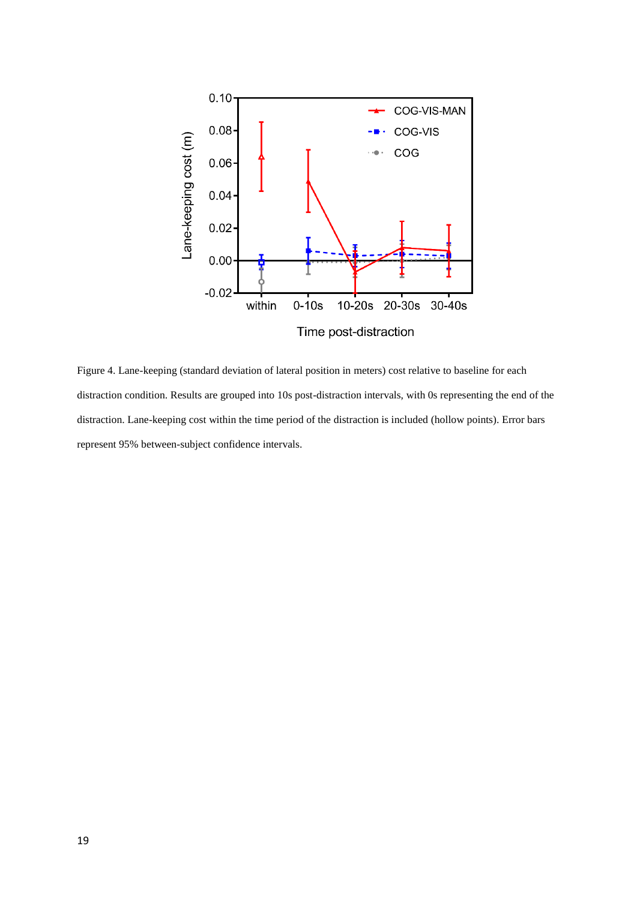

Figure 4. Lane-keeping (standard deviation of lateral position in meters) cost relative to baseline for each distraction condition. Results are grouped into 10s post-distraction intervals, with 0s representing the end of the distraction. Lane-keeping cost within the time period of the distraction is included (hollow points). Error bars represent 95% between-subject confidence intervals.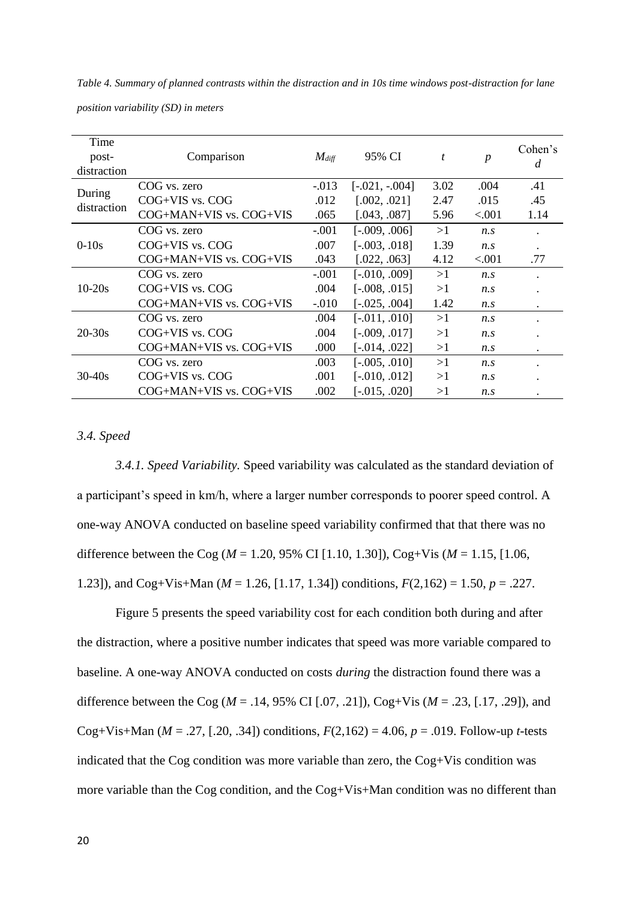*position variability (SD) in meters* Time postdistraction Comparison *Mdiff* 95% CI *t p* Cohen's *d* During distraction COG vs. zero -.013 [-.021, -.004] 3.02 .004 .41 COG+VIS vs. COG  $.012 \quad [0.002, 0.021] \quad 2.47 \quad .015 \quad .45$ COG+MAN+VIS vs. COG+VIS .065 [.043, .087] 5.96 <.001 1.14

> COG vs. zero -.001 [-.010, .009] >1 *n.s* .  $COG+VIS \t{vs. COG}$  .004 [-.008, .015] >1 *n.s* COG+MAN+VIS vs. COG+VIS -.010 [-.025, .004] 1.42 *n.s* .

> $COG+MAN+VIS$  vs.  $COG+VIS$  .000 [-.014, .022] >1 *n.s*

COG+MAN+VIS vs. COG+VIS .002 [-.015, .020] >1 *n.s* .

COG vs. zero -.001 [-.009, .006] >1 *n.s* . COG+VIS vs. COG  $.007$   $[-.003, .018]$  1.39 *n.s* . COG+MAN+VIS vs. COG+VIS .043 [.022, .063] 4.12 <.001 .77

COG vs. zero .004 [-.011, .010] >1 *n.s* .  $COG+VIS \t{vs.} COG$  .004  $[-.009, .017]$  >1 *n.s* .

COG vs. zero .003 [-.005, .010] >1 *n.s* . COG+VIS vs. COG .001 [-.010, .012] >1 *n.s* .

| Table 4. Summary of planned contrasts within the distraction and in 10s time windows post-distraction for lane |  |
|----------------------------------------------------------------------------------------------------------------|--|
|----------------------------------------------------------------------------------------------------------------|--|

*3.4. Speed*

0-10s

10-20s

20-30s

30-40s

*3.4.1. Speed Variability.* Speed variability was calculated as the standard deviation of a participant's speed in km/h, where a larger number corresponds to poorer speed control. A one-way ANOVA conducted on baseline speed variability confirmed that that there was no difference between the Cog (*M* = 1.20, 95% CI [1.10, 1.30]), Cog+Vis (*M* = 1.15, [1.06, 1.23]), and Cog+Vis+Man (*M* = 1.26, [1.17, 1.34]) conditions, *F*(2,162) = 1.50, *p* = .227.

Figure 5 presents the speed variability cost for each condition both during and after the distraction, where a positive number indicates that speed was more variable compared to baseline. A one-way ANOVA conducted on costs *during* the distraction found there was a difference between the Cog (*M* = .14, 95% CI [.07, .21]), Cog+Vis (*M* = .23, [.17, .29]), and Cog+Vis+Man ( $M = .27$ , [.20, .34]) conditions,  $F(2,162) = 4.06$ ,  $p = .019$ . Follow-up *t*-tests indicated that the Cog condition was more variable than zero, the Cog+Vis condition was more variable than the Cog condition, and the Cog+Vis+Man condition was no different than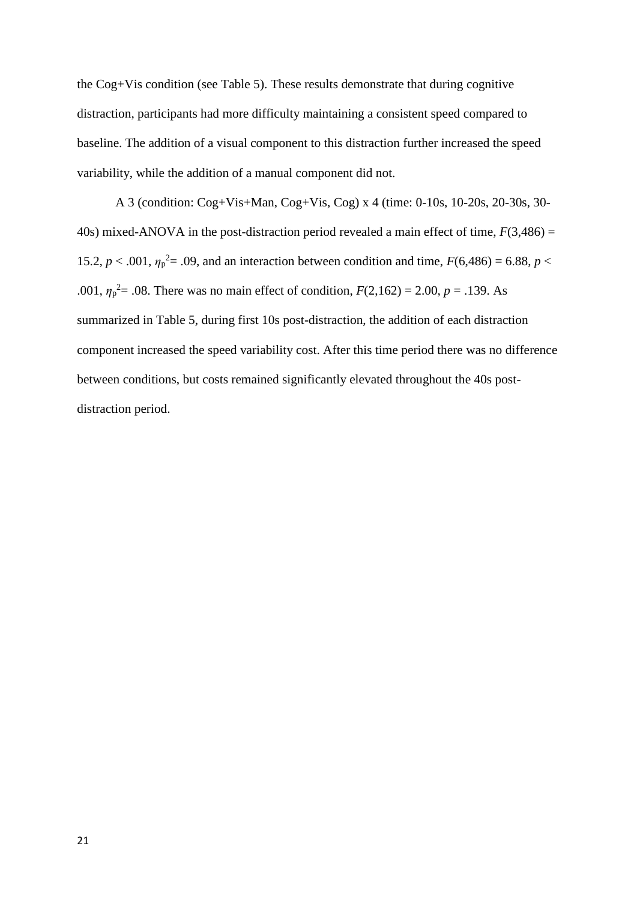the Cog+Vis condition (see Table 5). These results demonstrate that during cognitive distraction, participants had more difficulty maintaining a consistent speed compared to baseline. The addition of a visual component to this distraction further increased the speed variability, while the addition of a manual component did not.

A 3 (condition: Cog+Vis+Man, Cog+Vis, Cog) x 4 (time: 0-10s, 10-20s, 20-30s, 30- 40s) mixed-ANOVA in the post-distraction period revealed a main effect of time,  $F(3,486) =$ 15.2,  $p < .001$ ,  $\eta_p^2 = .09$ , and an interaction between condition and time,  $F(6,486) = 6.88$ ,  $p <$ .001,  $\eta_p^2 = 0.08$ . There was no main effect of condition,  $F(2,162) = 2.00$ ,  $p = 0.139$ . As summarized in Table 5, during first 10s post-distraction, the addition of each distraction component increased the speed variability cost. After this time period there was no difference between conditions, but costs remained significantly elevated throughout the 40s postdistraction period.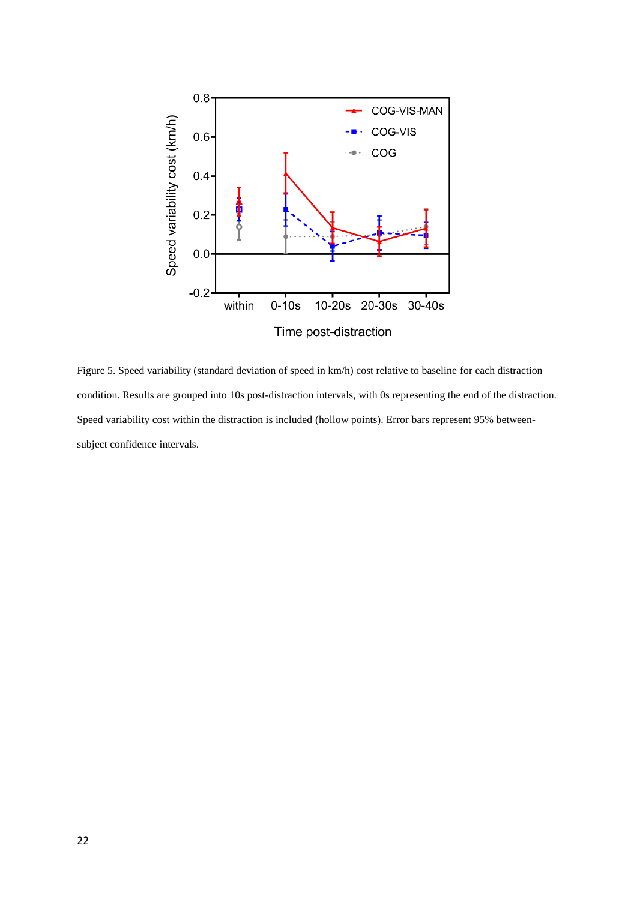

Figure 5. Speed variability (standard deviation of speed in km/h) cost relative to baseline for each distraction condition. Results are grouped into 10s post-distraction intervals, with 0s representing the end of the distraction. Speed variability cost within the distraction is included (hollow points). Error bars represent 95% betweensubject confidence intervals.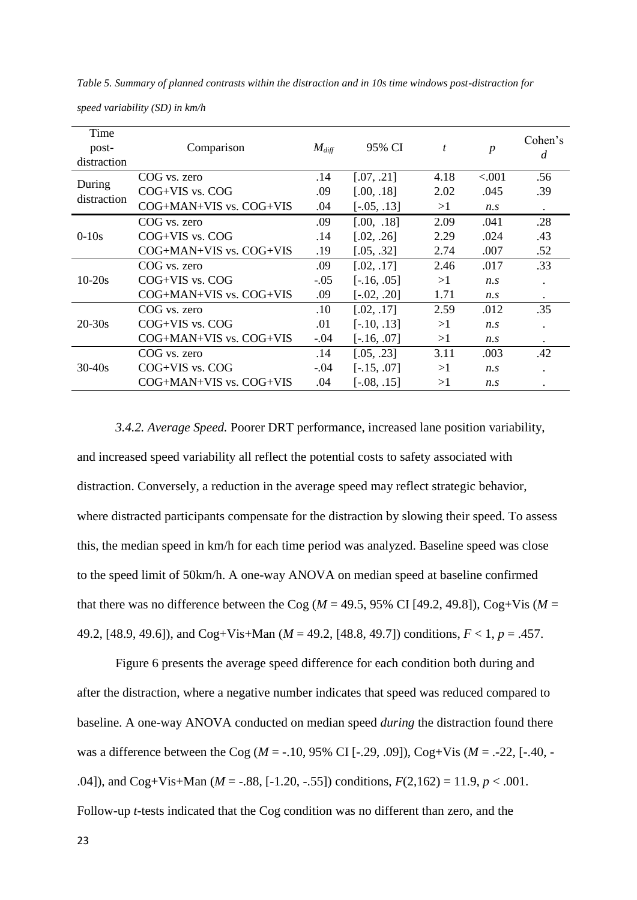| Time<br>post-<br>distraction | Comparison                  | $M_{diff}$ | 95% CI        | t    | $\boldsymbol{p}$ | Cohen's<br>d |
|------------------------------|-----------------------------|------------|---------------|------|------------------|--------------|
|                              | COG vs. zero                | .14        | [.07, .21]    | 4.18 | < 0.001          | .56          |
| During<br>distraction        | $COG+VIS$ vs. $COG$         | .09        | [.00, .18]    | 2.02 | .045             | .39          |
|                              | $COG+MAN+VIS$ vs. $COG+VIS$ | .04        | $[-.05, .13]$ | >1   | $n_{\rm s}$      | $\bullet$    |
|                              | COG vs. zero                | .09        | [.00, .18]    | 2.09 | .041             | .28          |
| $0-10s$                      | $COG+VIS$ vs. $COG$         | .14        | [.02, .26]    | 2.29 | .024             | .43          |
|                              | $COG+MAN+VIS$ vs. $COG+VIS$ | .19        | [.05, .32]    | 2.74 | .007             | .52          |
|                              | COG vs. zero                | .09        | [.02, .17]    | 2.46 | .017             | .33          |
| $10 - 20s$                   | $COG+VIS$ vs. $COG$         | $-.05$     | $[-.16, .05]$ | >1   | $n_{\rm s}$      | $\bullet$    |
|                              | $COG+MAN+VIS$ vs. $COG+VIS$ | .09        | $[-.02, .20]$ | 1.71 | n.s              | $\bullet$    |
| $20 - 30s$                   | COG vs. zero                | .10        | [.02, .17]    | 2.59 | .012             | .35          |
|                              | $COG+VIS$ vs. $COG$         | .01        | $[-.10, .13]$ | >1   | $n_{\rm s}$      |              |
|                              | $COG+MAN+VIS$ vs. $COG+VIS$ | $-.04$     | $[-.16, .07]$ | >1   | n.s              | $\bullet$    |
| $30 - 40s$                   | COG vs. zero                | .14        | [.05, .23]    | 3.11 | .003             | .42          |
|                              | COG+VIS vs. COG             | $-.04$     | $[-.15, .07]$ | >1   | $n_{\rm s}$      |              |
|                              | $COG+MAN+VIS$ vs. $COG+VIS$ | .04        | $[-.08, .15]$ | >1   | n.s              |              |

*Table 5. Summary of planned contrasts within the distraction and in 10s time windows post-distraction for* 

*speed variability (SD) in km/h*

*3.4.2. Average Speed.* Poorer DRT performance, increased lane position variability, and increased speed variability all reflect the potential costs to safety associated with distraction. Conversely, a reduction in the average speed may reflect strategic behavior, where distracted participants compensate for the distraction by slowing their speed. To assess this, the median speed in km/h for each time period was analyzed. Baseline speed was close to the speed limit of 50km/h. A one-way ANOVA on median speed at baseline confirmed that there was no difference between the Cog ( $M = 49.5$ , 95% CI [49.2, 49.8]), Cog+Vis ( $M =$ 49.2, [48.9, 49.6]), and Cog+Vis+Man (*M* = 49.2, [48.8, 49.7]) conditions, *F* < 1, *p* = .457.

Figure 6 presents the average speed difference for each condition both during and after the distraction, where a negative number indicates that speed was reduced compared to baseline. A one-way ANOVA conducted on median speed *during* the distraction found there was a difference between the Cog (*M* = -.10, 95% CI [-.29, .09]), Cog+Vis (*M* = .-22, [-.40, - .04]), and Cog+Vis+Man (*M* = -.88, [-1.20, -.55]) conditions, *F*(2,162) = 11.9, *p* < .001. Follow-up *t*-tests indicated that the Cog condition was no different than zero, and the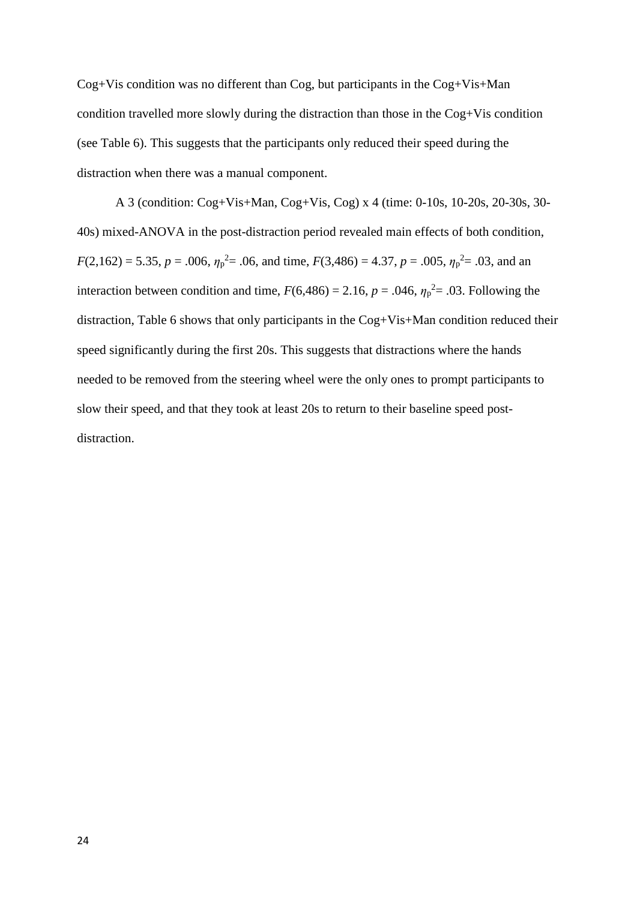Cog+Vis condition was no different than Cog, but participants in the Cog+Vis+Man condition travelled more slowly during the distraction than those in the Cog+Vis condition (see Table 6). This suggests that the participants only reduced their speed during the distraction when there was a manual component.

A 3 (condition: Cog+Vis+Man, Cog+Vis, Cog) x 4 (time: 0-10s, 10-20s, 20-30s, 30- 40s) mixed-ANOVA in the post-distraction period revealed main effects of both condition,  $F(2,162) = 5.35, p = .006, \eta_p^2 = .06$ , and time,  $F(3,486) = 4.37, p = .005, \eta_p^2 = .03$ , and an interaction between condition and time,  $F(6,486) = 2.16$ ,  $p = .046$ ,  $\eta_p^2 = .03$ . Following the distraction, Table 6 shows that only participants in the Cog+Vis+Man condition reduced their speed significantly during the first 20s. This suggests that distractions where the hands needed to be removed from the steering wheel were the only ones to prompt participants to slow their speed, and that they took at least 20s to return to their baseline speed postdistraction.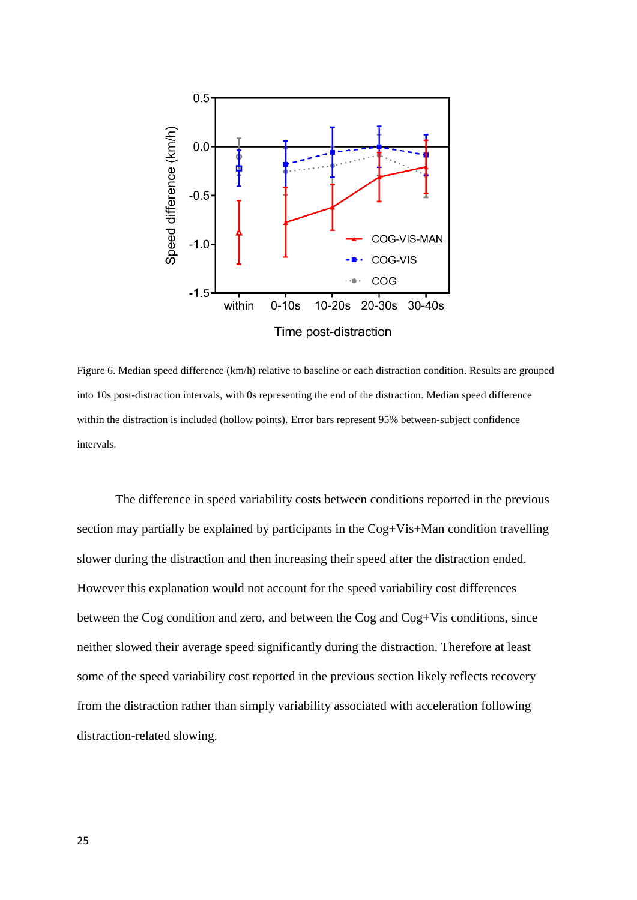

Figure 6. Median speed difference (km/h) relative to baseline or each distraction condition. Results are grouped into 10s post-distraction intervals, with 0s representing the end of the distraction. Median speed difference within the distraction is included (hollow points). Error bars represent 95% between-subject confidence intervals.

The difference in speed variability costs between conditions reported in the previous section may partially be explained by participants in the Cog+Vis+Man condition travelling slower during the distraction and then increasing their speed after the distraction ended. However this explanation would not account for the speed variability cost differences between the Cog condition and zero, and between the Cog and Cog+Vis conditions, since neither slowed their average speed significantly during the distraction. Therefore at least some of the speed variability cost reported in the previous section likely reflects recovery from the distraction rather than simply variability associated with acceleration following distraction-related slowing.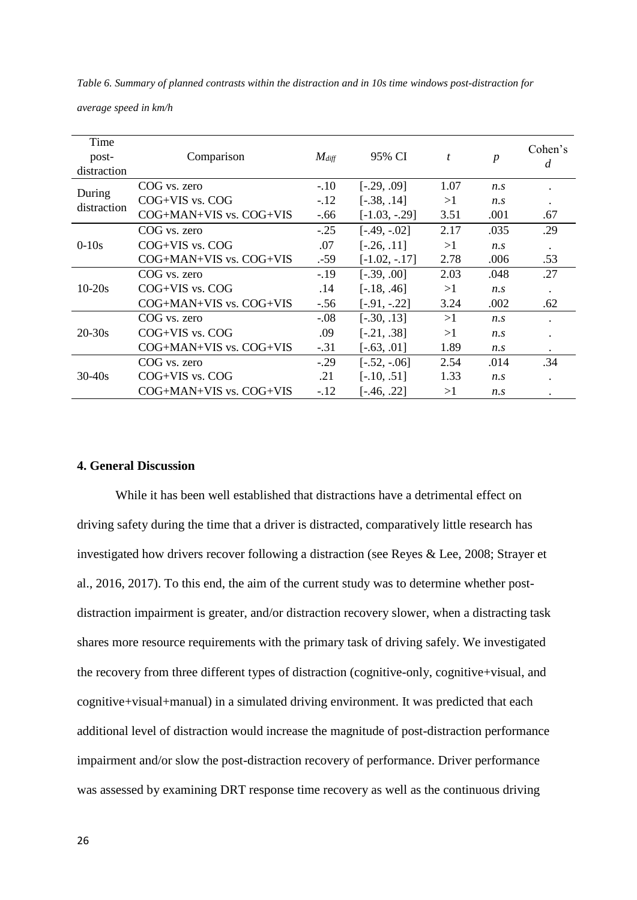*Table 6. Summary of planned contrasts within the distraction and in 10s time windows post-distraction for* 

*average speed in km/h*

| Time<br>post-<br>distraction | Comparison                  | $M_{diff}$ | 95% CI           | t    | $\boldsymbol{p}$ | Cohen's<br>d |
|------------------------------|-----------------------------|------------|------------------|------|------------------|--------------|
|                              | COG vs. zero                | $-.10$     | $[-.29, .09]$    | 1.07 | $n_{\rm s}$      |              |
| During                       | COG+VIS vs. COG             | $-.12$     | $[-.38, .14]$    | >1   | n.s              |              |
| distraction                  | COG+MAN+VIS vs. COG+VIS     | $-.66$     | $[-1.03, -0.29]$ | 3.51 | .001             | .67          |
|                              | COG vs. zero                | $-.25$     | $[-.49, -.02]$   | 2.17 | .035             | .29          |
| $0-10s$                      | $COG+VIS$ vs. $COG$         | .07        | $[-.26, .11]$    | >1   | $n_{\rm s}$      |              |
|                              | $COG+MAN+VIS$ vs. $COG+VIS$ | $-59$      | $[-1.02, -17]$   | 2.78 | .006             | .53          |
|                              | COG vs. zero                | $-.19$     | $[-.39, .00]$    | 2.03 | .048             | .27          |
| $10-20s$                     | $COG+VIS$ vs. $COG$         | .14        | $[-.18, .46]$    | >1   | n.s              | $\bullet$    |
|                              | COG+MAN+VIS vs. COG+VIS     | $-.56$     | $[-.91, -.22]$   | 3.24 | .002             | .62          |
| $20 - 30s$                   | COG vs. zero                | $-0.08$    | $[-.30, .13]$    | >1   | $n_{\rm s}$      |              |
|                              | $COG+VIS$ vs. $COG$         | .09        | $[-.21, .38]$    | >1   | $n_{\rm s}$      |              |
|                              | $COG+MAN+VIS$ vs. $COG+VIS$ | $-.31$     | $[-.63, .01]$    | 1.89 | n.s              |              |
| $30 - 40s$                   | COG vs. zero                | $-.29$     | $[-.52, -06]$    | 2.54 | .014             | .34          |
|                              | $COG+VIS$ vs. $COG$         | .21        | $[-.10, .51]$    | 1.33 | n.s              |              |
|                              | $COG+MAN+VIS$ vs. $COG+VIS$ | $-.12$     | $[-.46, .22]$    | >1   | $n_{\rm s}$      |              |

# **4. General Discussion**

While it has been well established that distractions have a detrimental effect on driving safety during the time that a driver is distracted, comparatively little research has investigated how drivers recover following a distraction (see Reyes & Lee, 2008; Strayer et al., 2016, 2017). To this end, the aim of the current study was to determine whether postdistraction impairment is greater, and/or distraction recovery slower, when a distracting task shares more resource requirements with the primary task of driving safely. We investigated the recovery from three different types of distraction (cognitive-only, cognitive+visual, and cognitive+visual+manual) in a simulated driving environment. It was predicted that each additional level of distraction would increase the magnitude of post-distraction performance impairment and/or slow the post-distraction recovery of performance. Driver performance was assessed by examining DRT response time recovery as well as the continuous driving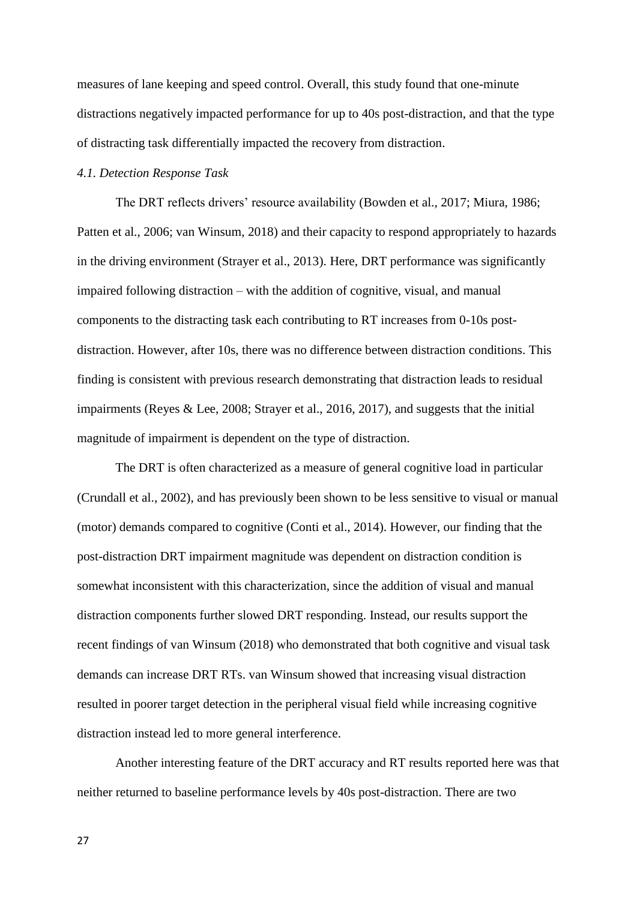measures of lane keeping and speed control. Overall, this study found that one-minute distractions negatively impacted performance for up to 40s post-distraction, and that the type of distracting task differentially impacted the recovery from distraction.

### *4.1. Detection Response Task*

The DRT reflects drivers' resource availability (Bowden et al., 2017; Miura, 1986; Patten et al., 2006; van Winsum, 2018) and their capacity to respond appropriately to hazards in the driving environment (Strayer et al., 2013). Here, DRT performance was significantly impaired following distraction – with the addition of cognitive, visual, and manual components to the distracting task each contributing to RT increases from 0-10s postdistraction. However, after 10s, there was no difference between distraction conditions. This finding is consistent with previous research demonstrating that distraction leads to residual impairments (Reyes & Lee, 2008; Strayer et al., 2016, 2017), and suggests that the initial magnitude of impairment is dependent on the type of distraction.

The DRT is often characterized as a measure of general cognitive load in particular (Crundall et al., 2002), and has previously been shown to be less sensitive to visual or manual (motor) demands compared to cognitive (Conti et al., 2014). However, our finding that the post-distraction DRT impairment magnitude was dependent on distraction condition is somewhat inconsistent with this characterization, since the addition of visual and manual distraction components further slowed DRT responding. Instead, our results support the recent findings of van Winsum (2018) who demonstrated that both cognitive and visual task demands can increase DRT RTs. van Winsum showed that increasing visual distraction resulted in poorer target detection in the peripheral visual field while increasing cognitive distraction instead led to more general interference.

Another interesting feature of the DRT accuracy and RT results reported here was that neither returned to baseline performance levels by 40s post-distraction. There are two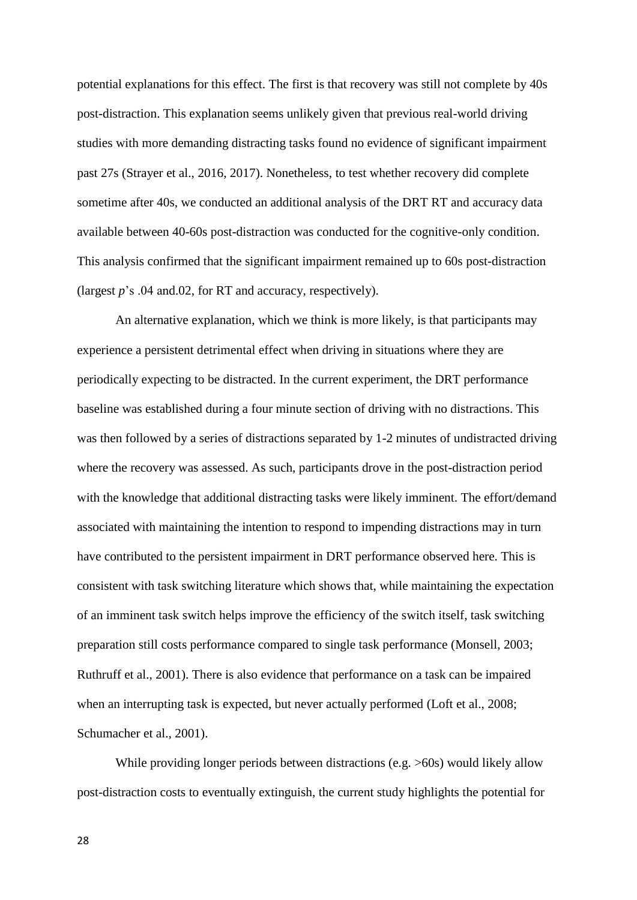potential explanations for this effect. The first is that recovery was still not complete by 40s post-distraction. This explanation seems unlikely given that previous real-world driving studies with more demanding distracting tasks found no evidence of significant impairment past 27s (Strayer et al., 2016, 2017). Nonetheless, to test whether recovery did complete sometime after 40s, we conducted an additional analysis of the DRT RT and accuracy data available between 40-60s post-distraction was conducted for the cognitive-only condition. This analysis confirmed that the significant impairment remained up to 60s post-distraction (largest *p*'s .04 and.02, for RT and accuracy, respectively).

An alternative explanation, which we think is more likely, is that participants may experience a persistent detrimental effect when driving in situations where they are periodically expecting to be distracted. In the current experiment, the DRT performance baseline was established during a four minute section of driving with no distractions. This was then followed by a series of distractions separated by 1-2 minutes of undistracted driving where the recovery was assessed. As such, participants drove in the post-distraction period with the knowledge that additional distracting tasks were likely imminent. The effort/demand associated with maintaining the intention to respond to impending distractions may in turn have contributed to the persistent impairment in DRT performance observed here. This is consistent with task switching literature which shows that, while maintaining the expectation of an imminent task switch helps improve the efficiency of the switch itself, task switching preparation still costs performance compared to single task performance (Monsell, 2003; Ruthruff et al., 2001). There is also evidence that performance on a task can be impaired when an interrupting task is expected, but never actually performed (Loft et al., 2008; Schumacher et al., 2001).

While providing longer periods between distractions (e.g.  $>60$ s) would likely allow post-distraction costs to eventually extinguish, the current study highlights the potential for

28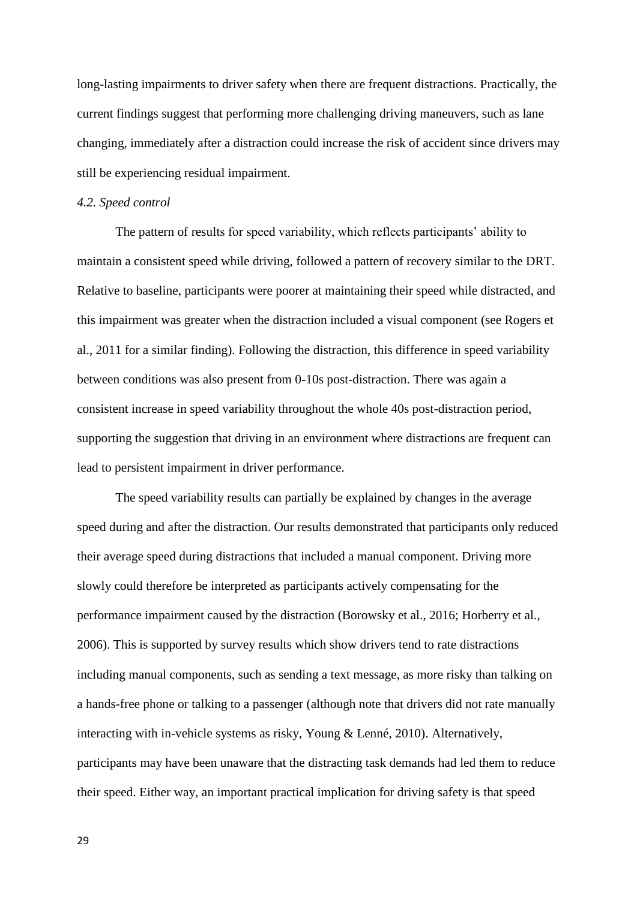long-lasting impairments to driver safety when there are frequent distractions. Practically, the current findings suggest that performing more challenging driving maneuvers, such as lane changing, immediately after a distraction could increase the risk of accident since drivers may still be experiencing residual impairment.

#### *4.2. Speed control*

The pattern of results for speed variability, which reflects participants' ability to maintain a consistent speed while driving, followed a pattern of recovery similar to the DRT. Relative to baseline, participants were poorer at maintaining their speed while distracted, and this impairment was greater when the distraction included a visual component (see Rogers et al., 2011 for a similar finding). Following the distraction, this difference in speed variability between conditions was also present from 0-10s post-distraction. There was again a consistent increase in speed variability throughout the whole 40s post-distraction period, supporting the suggestion that driving in an environment where distractions are frequent can lead to persistent impairment in driver performance.

The speed variability results can partially be explained by changes in the average speed during and after the distraction. Our results demonstrated that participants only reduced their average speed during distractions that included a manual component. Driving more slowly could therefore be interpreted as participants actively compensating for the performance impairment caused by the distraction (Borowsky et al., 2016; Horberry et al., 2006). This is supported by survey results which show drivers tend to rate distractions including manual components, such as sending a text message, as more risky than talking on a hands-free phone or talking to a passenger (although note that drivers did not rate manually interacting with in-vehicle systems as risky, Young & Lenné, 2010). Alternatively, participants may have been unaware that the distracting task demands had led them to reduce their speed. Either way, an important practical implication for driving safety is that speed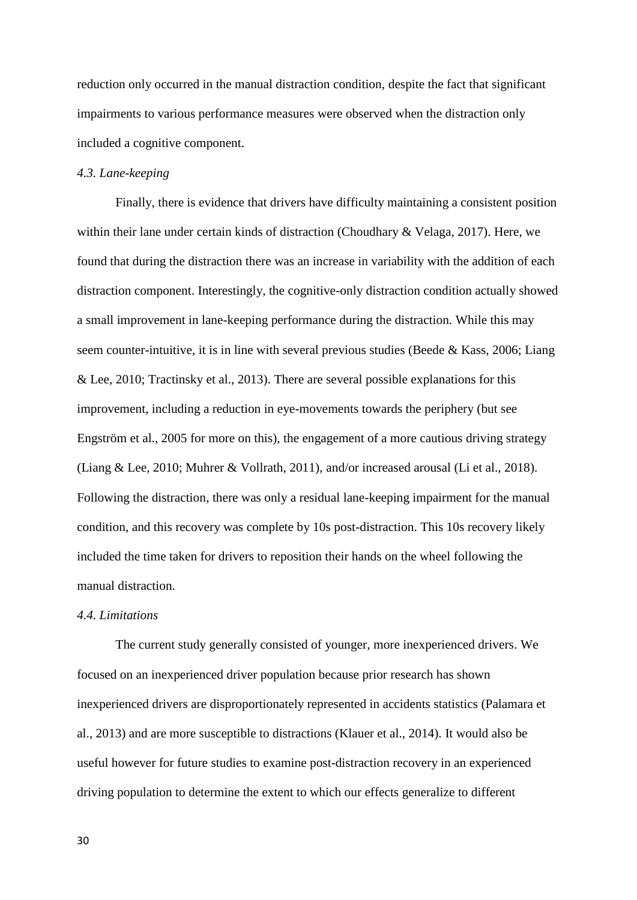reduction only occurred in the manual distraction condition, despite the fact that significant impairments to various performance measures were observed when the distraction only included a cognitive component.

# *4.3. Lane-keeping*

Finally, there is evidence that drivers have difficulty maintaining a consistent position within their lane under certain kinds of distraction (Choudhary & Velaga, 2017). Here, we found that during the distraction there was an increase in variability with the addition of each distraction component. Interestingly, the cognitive-only distraction condition actually showed a small improvement in lane-keeping performance during the distraction. While this may seem counter-intuitive, it is in line with several previous studies (Beede & Kass, 2006; Liang & Lee, 2010; Tractinsky et al., 2013). There are several possible explanations for this improvement, including a reduction in eye-movements towards the periphery (but see Engström et al., 2005 for more on this), the engagement of a more cautious driving strategy (Liang & Lee, 2010; Muhrer & Vollrath, 2011), and/or increased arousal (Li et al., 2018). Following the distraction, there was only a residual lane-keeping impairment for the manual condition, and this recovery was complete by 10s post-distraction. This 10s recovery likely included the time taken for drivers to reposition their hands on the wheel following the manual distraction.

## *4.4. Limitations*

The current study generally consisted of younger, more inexperienced drivers. We focused on an inexperienced driver population because prior research has shown inexperienced drivers are disproportionately represented in accidents statistics (Palamara et al., 2013) and are more susceptible to distractions (Klauer et al., 2014). It would also be useful however for future studies to examine post-distraction recovery in an experienced driving population to determine the extent to which our effects generalize to different

30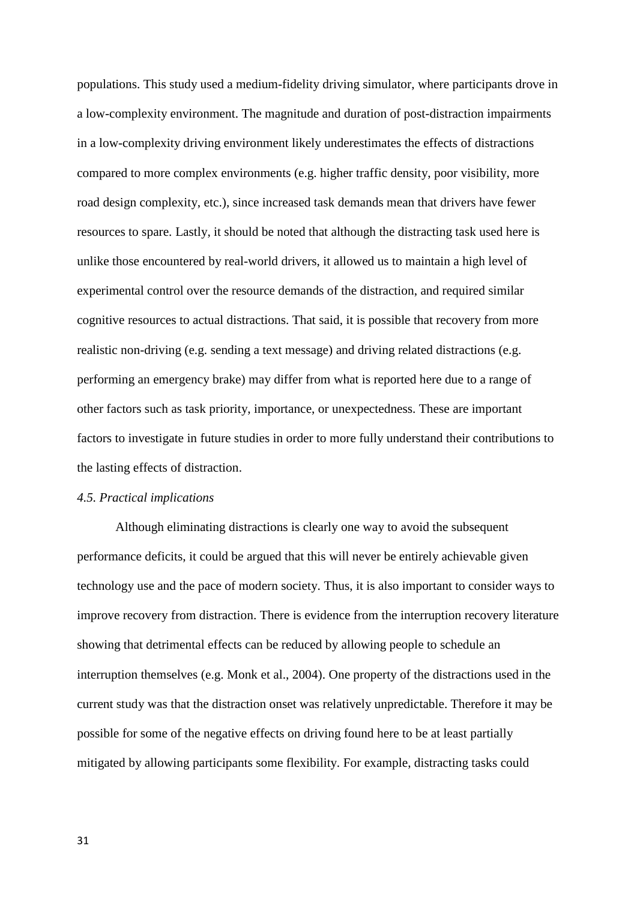populations. This study used a medium-fidelity driving simulator, where participants drove in a low-complexity environment. The magnitude and duration of post-distraction impairments in a low-complexity driving environment likely underestimates the effects of distractions compared to more complex environments (e.g. higher traffic density, poor visibility, more road design complexity, etc.), since increased task demands mean that drivers have fewer resources to spare. Lastly, it should be noted that although the distracting task used here is unlike those encountered by real-world drivers, it allowed us to maintain a high level of experimental control over the resource demands of the distraction, and required similar cognitive resources to actual distractions. That said, it is possible that recovery from more realistic non-driving (e.g. sending a text message) and driving related distractions (e.g. performing an emergency brake) may differ from what is reported here due to a range of other factors such as task priority, importance, or unexpectedness. These are important factors to investigate in future studies in order to more fully understand their contributions to the lasting effects of distraction.

## *4.5. Practical implications*

Although eliminating distractions is clearly one way to avoid the subsequent performance deficits, it could be argued that this will never be entirely achievable given technology use and the pace of modern society. Thus, it is also important to consider ways to improve recovery from distraction. There is evidence from the interruption recovery literature showing that detrimental effects can be reduced by allowing people to schedule an interruption themselves (e.g. Monk et al., 2004). One property of the distractions used in the current study was that the distraction onset was relatively unpredictable. Therefore it may be possible for some of the negative effects on driving found here to be at least partially mitigated by allowing participants some flexibility. For example, distracting tasks could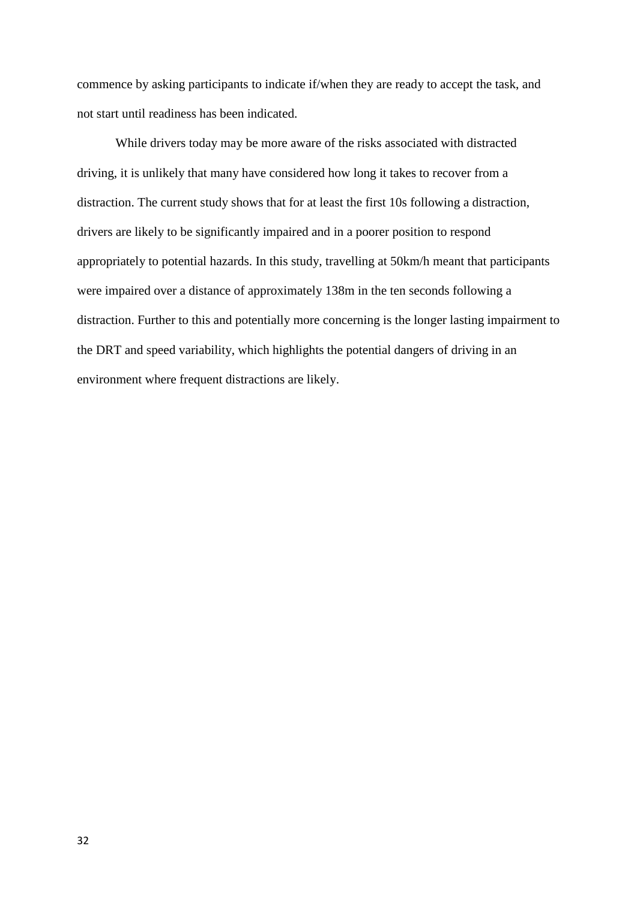commence by asking participants to indicate if/when they are ready to accept the task, and not start until readiness has been indicated.

While drivers today may be more aware of the risks associated with distracted driving, it is unlikely that many have considered how long it takes to recover from a distraction. The current study shows that for at least the first 10s following a distraction, drivers are likely to be significantly impaired and in a poorer position to respond appropriately to potential hazards. In this study, travelling at 50km/h meant that participants were impaired over a distance of approximately 138m in the ten seconds following a distraction. Further to this and potentially more concerning is the longer lasting impairment to the DRT and speed variability, which highlights the potential dangers of driving in an environment where frequent distractions are likely.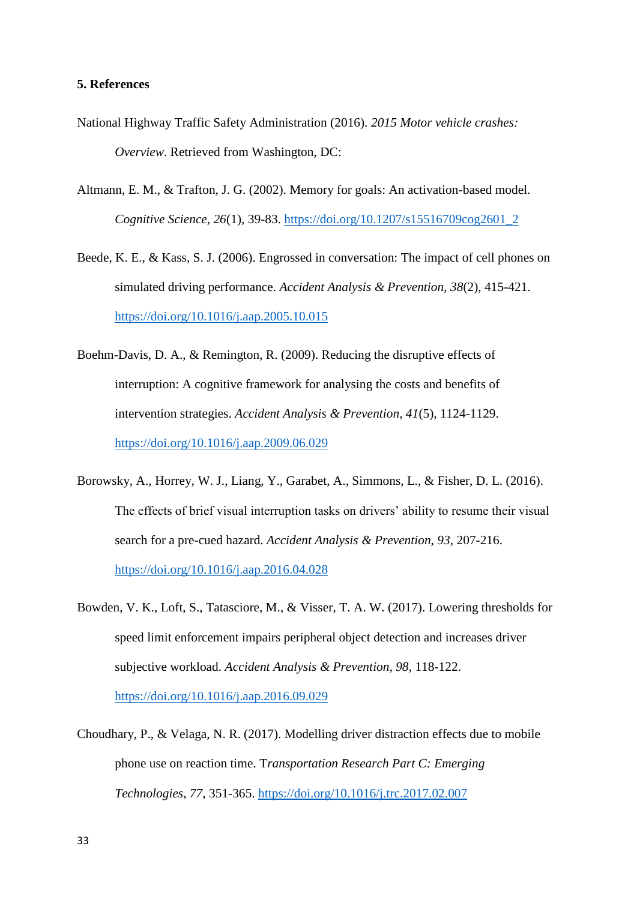# **5. References**

- National Highway Traffic Safety Administration (2016). *2015 Motor vehicle crashes: Overview*. Retrieved from Washington, DC:
- Altmann, E. M., & Trafton, J. G. (2002). Memory for goals: An activation-based model. *Cognitive Science, 26*(1), 39-83. [https://doi.org/10.1207/s15516709cog2601\\_2](https://doi.org/10.1207/s15516709cog2601_2)
- Beede, K. E., & Kass, S. J. (2006). Engrossed in conversation: The impact of cell phones on simulated driving performance. *Accident Analysis & Prevention, 38*(2), 415-421. <https://doi.org/10.1016/j.aap.2005.10.015>
- Boehm-Davis, D. A., & Remington, R. (2009). Reducing the disruptive effects of interruption: A cognitive framework for analysing the costs and benefits of intervention strategies. *Accident Analysis & Prevention, 41*(5), 1124-1129. <https://doi.org/10.1016/j.aap.2009.06.029>
- Borowsky, A., Horrey, W. J., Liang, Y., Garabet, A., Simmons, L., & Fisher, D. L. (2016). The effects of brief visual interruption tasks on drivers' ability to resume their visual search for a pre-cued hazard. *Accident Analysis & Prevention, 93*, 207-216. <https://doi.org/10.1016/j.aap.2016.04.028>
- Bowden, V. K., Loft, S., Tatasciore, M., & Visser, T. A. W. (2017). Lowering thresholds for speed limit enforcement impairs peripheral object detection and increases driver subjective workload. *Accident Analysis & Prevention, 98,* 118-122. <https://doi.org/10.1016/j.aap.2016.09.029>
- Choudhary, P., & Velaga, N. R. (2017). Modelling driver distraction effects due to mobile phone use on reaction time. T*ransportation Research Part C: Emerging Technologies, 77*, 351-365.<https://doi.org/10.1016/j.trc.2017.02.007>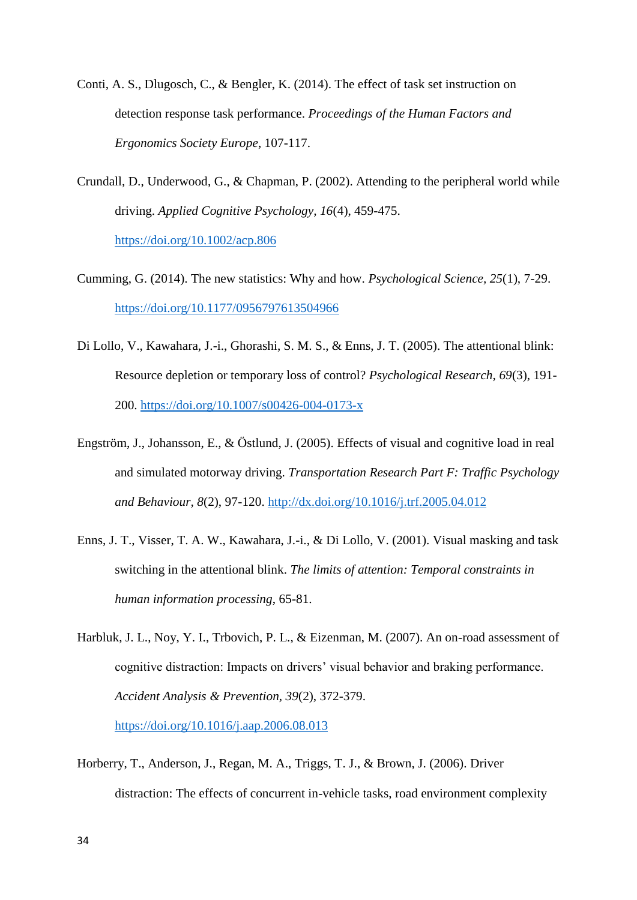- Conti, A. S., Dlugosch, C., & Bengler, K. (2014). The effect of task set instruction on detection response task performance. *Proceedings of the Human Factors and Ergonomics Society Europe*, 107-117.
- Crundall, D., Underwood, G., & Chapman, P. (2002). Attending to the peripheral world while driving. *Applied Cognitive Psychology, 16*(4), 459-475. <https://doi.org/10.1002/acp.806>
- Cumming, G. (2014). The new statistics: Why and how. *Psychological Science, 25*(1), 7-29. <https://doi.org/10.1177/0956797613504966>
- Di Lollo, V., Kawahara, J.-i., Ghorashi, S. M. S., & Enns, J. T. (2005). The attentional blink: Resource depletion or temporary loss of control? *Psychological Research, 69*(3), 191- 200.<https://doi.org/10.1007/s00426-004-0173-x>
- Engström, J., Johansson, E., & Östlund, J. (2005). Effects of visual and cognitive load in real and simulated motorway driving. *Transportation Research Part F: Traffic Psychology and Behaviour, 8*(2), 97-120.<http://dx.doi.org/10.1016/j.trf.2005.04.012>
- Enns, J. T., Visser, T. A. W., Kawahara, J.-i., & Di Lollo, V. (2001). Visual masking and task switching in the attentional blink. *The limits of attention: Temporal constraints in human information processing*, 65-81.
- Harbluk, J. L., Noy, Y. I., Trbovich, P. L., & Eizenman, M. (2007). An on-road assessment of cognitive distraction: Impacts on drivers' visual behavior and braking performance. *Accident Analysis & Prevention, 39*(2), 372-379. <https://doi.org/10.1016/j.aap.2006.08.013>
- Horberry, T., Anderson, J., Regan, M. A., Triggs, T. J., & Brown, J. (2006). Driver distraction: The effects of concurrent in-vehicle tasks, road environment complexity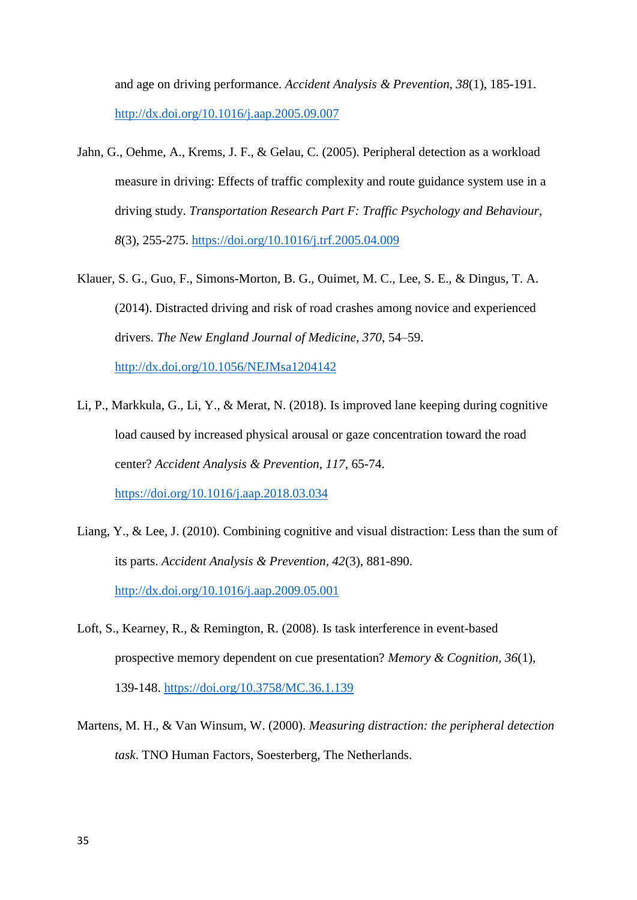and age on driving performance. *Accident Analysis & Prevention, 38*(1), 185-191. <http://dx.doi.org/10.1016/j.aap.2005.09.007>

- Jahn, G., Oehme, A., Krems, J. F., & Gelau, C. (2005). Peripheral detection as a workload measure in driving: Effects of traffic complexity and route guidance system use in a driving study. *Transportation Research Part F: Traffic Psychology and Behaviour, 8*(3), 255-275.<https://doi.org/10.1016/j.trf.2005.04.009>
- Klauer, S. G., Guo, F., Simons-Morton, B. G., Ouimet, M. C., Lee, S. E., & Dingus, T. A. (2014). Distracted driving and risk of road crashes among novice and experienced drivers. *The New England Journal of Medicine, 370*, 54–59. <http://dx.doi.org/10.1056/NEJMsa1204142>
- Li, P., Markkula, G., Li, Y., & Merat, N. (2018). Is improved lane keeping during cognitive load caused by increased physical arousal or gaze concentration toward the road center? *Accident Analysis & Prevention, 117*, 65-74. <https://doi.org/10.1016/j.aap.2018.03.034>
- Liang, Y., & Lee, J. (2010). Combining cognitive and visual distraction: Less than the sum of its parts. *Accident Analysis & Prevention, 42*(3), 881-890. <http://dx.doi.org/10.1016/j.aap.2009.05.001>
- Loft, S., Kearney, R., & Remington, R. (2008). Is task interference in event-based prospective memory dependent on cue presentation? *Memory & Cognition, 36*(1), 139-148.<https://doi.org/10.3758/MC.36.1.139>
- Martens, M. H., & Van Winsum, W. (2000). *Measuring distraction: the peripheral detection task*. TNO Human Factors, Soesterberg, The Netherlands.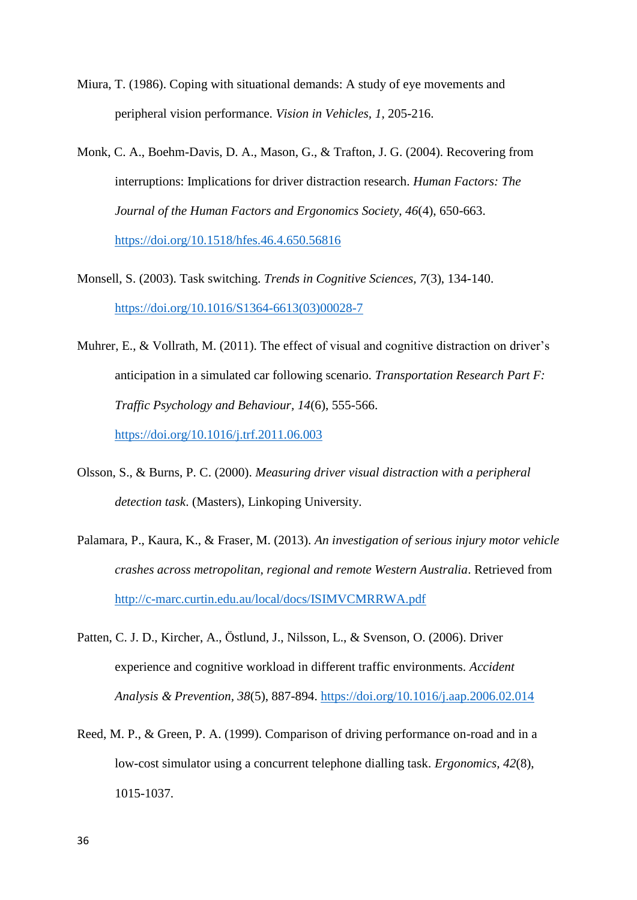- Miura, T. (1986). Coping with situational demands: A study of eye movements and peripheral vision performance. *Vision in Vehicles, 1*, 205-216.
- Monk, C. A., Boehm-Davis, D. A., Mason, G., & Trafton, J. G. (2004). Recovering from interruptions: Implications for driver distraction research. *Human Factors: The Journal of the Human Factors and Ergonomics Society, 46*(4), 650-663. <https://doi.org/10.1518/hfes.46.4.650.56816>
- Monsell, S. (2003). Task switching. *Trends in Cognitive Sciences, 7*(3), 134-140. [https://doi.org/10.1016/S1364-6613\(03\)00028-7](https://doi.org/10.1016/S1364-6613(03)00028-7)
- Muhrer, E., & Vollrath, M. (2011). The effect of visual and cognitive distraction on driver's anticipation in a simulated car following scenario. *Transportation Research Part F: Traffic Psychology and Behaviour, 14*(6), 555-566. <https://doi.org/10.1016/j.trf.2011.06.003>
- Olsson, S., & Burns, P. C. (2000). *Measuring driver visual distraction with a peripheral detection task*. (Masters), Linkoping University.
- Palamara, P., Kaura, K., & Fraser, M. (2013). *An investigation of serious injury motor vehicle crashes across metropolitan, regional and remote Western Australia*. Retrieved from <http://c-marc.curtin.edu.au/local/docs/ISIMVCMRRWA.pdf>
- Patten, C. J. D., Kircher, A., Östlund, J., Nilsson, L., & Svenson, O. (2006). Driver experience and cognitive workload in different traffic environments. *Accident Analysis & Prevention, 38*(5), 887-894.<https://doi.org/10.1016/j.aap.2006.02.014>
- Reed, M. P., & Green, P. A. (1999). Comparison of driving performance on-road and in a low-cost simulator using a concurrent telephone dialling task. *Ergonomics, 42*(8), 1015-1037.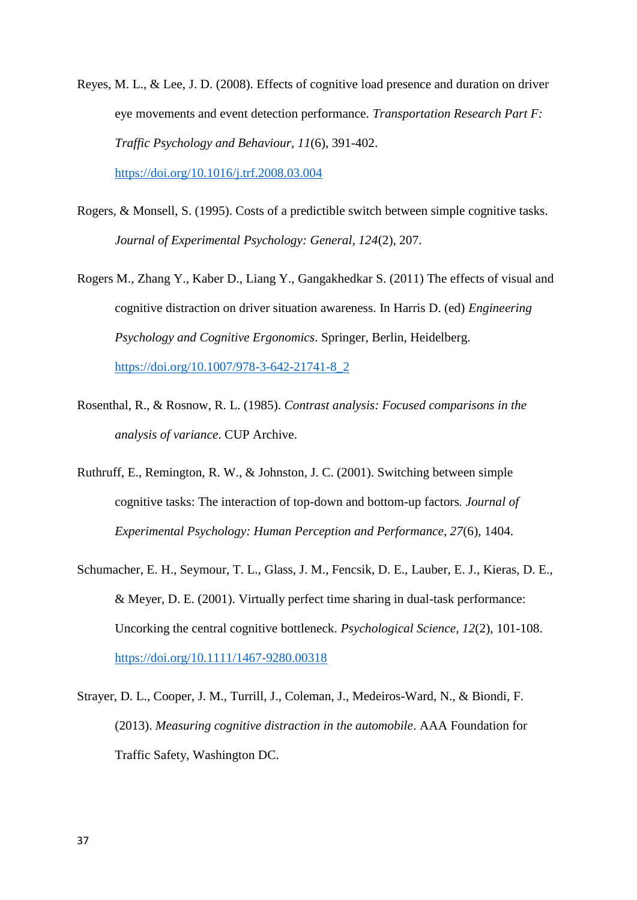Reyes, M. L., & Lee, J. D. (2008). Effects of cognitive load presence and duration on driver eye movements and event detection performance. *Transportation Research Part F: Traffic Psychology and Behaviour, 11*(6), 391-402. <https://doi.org/10.1016/j.trf.2008.03.004>

- Rogers, & Monsell, S. (1995). Costs of a predictible switch between simple cognitive tasks. *Journal of Experimental Psychology: General, 124*(2), 207.
- Rogers M., Zhang Y., Kaber D., Liang Y., Gangakhedkar S. (2011) The effects of visual and cognitive distraction on driver situation awareness. In Harris D. (ed) *Engineering Psychology and Cognitive Ergonomics*. Springer, Berlin, Heidelberg. [https://doi.org/10.1007/978-3-642-21741-8\\_2](https://doi.org/10.1007/978-3-642-21741-8_2)
- Rosenthal, R., & Rosnow, R. L. (1985). *Contrast analysis: Focused comparisons in the analysis of variance*. CUP Archive.
- Ruthruff, E., Remington, R. W., & Johnston, J. C. (2001). Switching between simple cognitive tasks: The interaction of top-down and bottom-up factors*. Journal of Experimental Psychology: Human Perception and Performance, 27*(6), 1404.
- Schumacher, E. H., Seymour, T. L., Glass, J. M., Fencsik, D. E., Lauber, E. J., Kieras, D. E., & Meyer, D. E. (2001). Virtually perfect time sharing in dual-task performance: Uncorking the central cognitive bottleneck. *Psychological Science, 12*(2), 101-108. <https://doi.org/10.1111/1467-9280.00318>
- Strayer, D. L., Cooper, J. M., Turrill, J., Coleman, J., Medeiros-Ward, N., & Biondi, F. (2013). *Measuring cognitive distraction in the automobile*. AAA Foundation for Traffic Safety, Washington DC.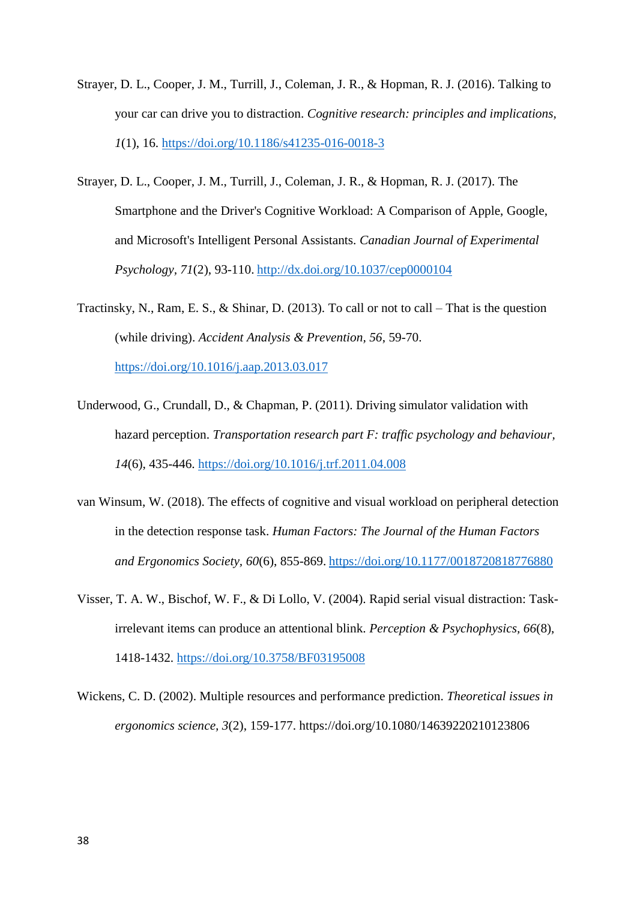- Strayer, D. L., Cooper, J. M., Turrill, J., Coleman, J. R., & Hopman, R. J. (2016). Talking to your car can drive you to distraction. *Cognitive research: principles and implications, 1*(1), 16.<https://doi.org/10.1186/s41235-016-0018-3>
- Strayer, D. L., Cooper, J. M., Turrill, J., Coleman, J. R., & Hopman, R. J. (2017). The Smartphone and the Driver's Cognitive Workload: A Comparison of Apple, Google, and Microsoft's Intelligent Personal Assistants. *Canadian Journal of Experimental Psychology, 71*(2), 93-110. <http://dx.doi.org/10.1037/cep0000104>
- Tractinsky, N., Ram, E. S., & Shinar, D. (2013). To call or not to call That is the question (while driving). *Accident Analysis & Prevention, 56*, 59-70. <https://doi.org/10.1016/j.aap.2013.03.017>
- Underwood, G., Crundall, D., & Chapman, P. (2011). Driving simulator validation with hazard perception. *Transportation research part F: traffic psychology and behaviour, 14*(6), 435-446. <https://doi.org/10.1016/j.trf.2011.04.008>
- van Winsum, W. (2018). The effects of cognitive and visual workload on peripheral detection in the detection response task. *Human Factors: The Journal of the Human Factors and Ergonomics Society, 60*(6), 855-869. <https://doi.org/10.1177/0018720818776880>
- Visser, T. A. W., Bischof, W. F., & Di Lollo, V. (2004). Rapid serial visual distraction: Taskirrelevant items can produce an attentional blink. *Perception & Psychophysics, 66*(8), 1418-1432.<https://doi.org/10.3758/BF03195008>
- Wickens, C. D. (2002). Multiple resources and performance prediction. *Theoretical issues in ergonomics science, 3*(2), 159-177. https://doi.org/10.1080/14639220210123806